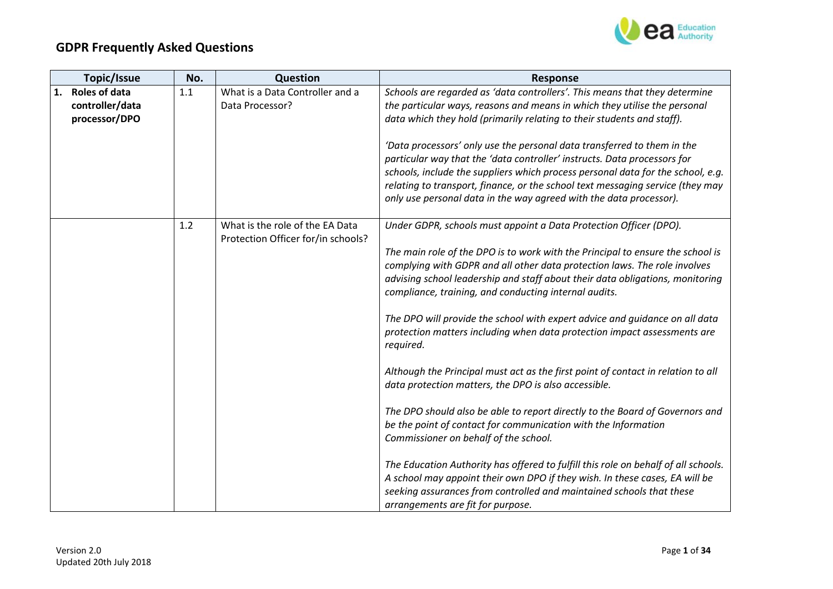

| Topic/Issue                | No. | Question                                                              | <b>Response</b>                                                                                                                                                                                                                                                                                                                                                                                                                                                               |
|----------------------------|-----|-----------------------------------------------------------------------|-------------------------------------------------------------------------------------------------------------------------------------------------------------------------------------------------------------------------------------------------------------------------------------------------------------------------------------------------------------------------------------------------------------------------------------------------------------------------------|
| <b>Roles of data</b><br>1. | 1.1 | What is a Data Controller and a                                       | Schools are regarded as 'data controllers'. This means that they determine                                                                                                                                                                                                                                                                                                                                                                                                    |
| controller/data            |     | Data Processor?                                                       | the particular ways, reasons and means in which they utilise the personal                                                                                                                                                                                                                                                                                                                                                                                                     |
| processor/DPO              |     |                                                                       | data which they hold (primarily relating to their students and staff).                                                                                                                                                                                                                                                                                                                                                                                                        |
|                            |     |                                                                       | 'Data processors' only use the personal data transferred to them in the<br>particular way that the 'data controller' instructs. Data processors for<br>schools, include the suppliers which process personal data for the school, e.g.<br>relating to transport, finance, or the school text messaging service (they may<br>only use personal data in the way agreed with the data processor).                                                                                |
|                            | 1.2 | What is the role of the EA Data<br>Protection Officer for/in schools? | Under GDPR, schools must appoint a Data Protection Officer (DPO).                                                                                                                                                                                                                                                                                                                                                                                                             |
|                            |     |                                                                       | The main role of the DPO is to work with the Principal to ensure the school is<br>complying with GDPR and all other data protection laws. The role involves<br>advising school leadership and staff about their data obligations, monitoring<br>compliance, training, and conducting internal audits.<br>The DPO will provide the school with expert advice and guidance on all data<br>protection matters including when data protection impact assessments are<br>required. |
|                            |     |                                                                       | Although the Principal must act as the first point of contact in relation to all<br>data protection matters, the DPO is also accessible.                                                                                                                                                                                                                                                                                                                                      |
|                            |     |                                                                       | The DPO should also be able to report directly to the Board of Governors and<br>be the point of contact for communication with the Information<br>Commissioner on behalf of the school.                                                                                                                                                                                                                                                                                       |
|                            |     |                                                                       | The Education Authority has offered to fulfill this role on behalf of all schools.<br>A school may appoint their own DPO if they wish. In these cases, EA will be<br>seeking assurances from controlled and maintained schools that these<br>arrangements are fit for purpose.                                                                                                                                                                                                |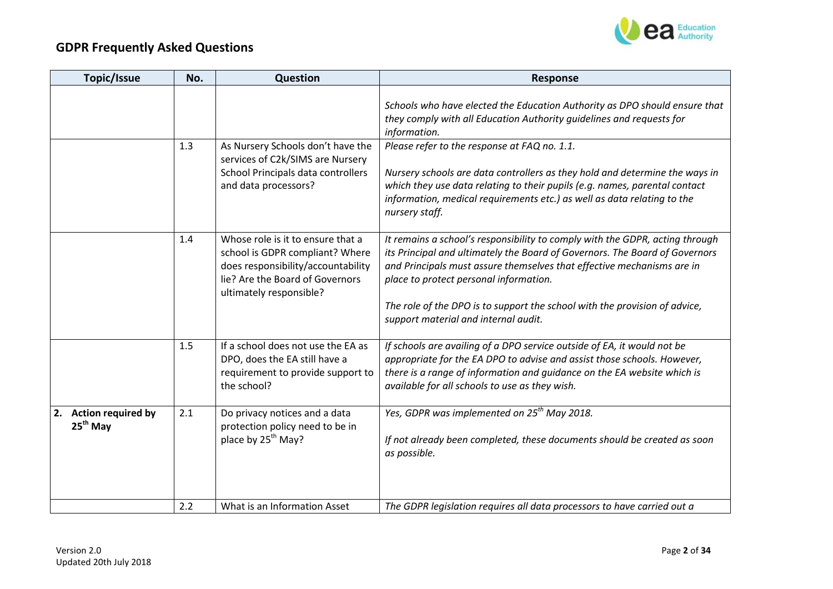

| Topic/Issue                                   | No. | Question                                                                                                                                                                 | <b>Response</b>                                                                                                                                                                                                                                                                                                                                                                                       |
|-----------------------------------------------|-----|--------------------------------------------------------------------------------------------------------------------------------------------------------------------------|-------------------------------------------------------------------------------------------------------------------------------------------------------------------------------------------------------------------------------------------------------------------------------------------------------------------------------------------------------------------------------------------------------|
|                                               |     |                                                                                                                                                                          | Schools who have elected the Education Authority as DPO should ensure that<br>they comply with all Education Authority guidelines and requests for<br>information.                                                                                                                                                                                                                                    |
|                                               | 1.3 | As Nursery Schools don't have the<br>services of C2k/SIMS are Nursery<br>School Principals data controllers<br>and data processors?                                      | Please refer to the response at FAQ no. 1.1.<br>Nursery schools are data controllers as they hold and determine the ways in<br>which they use data relating to their pupils (e.g. names, parental contact<br>information, medical requirements etc.) as well as data relating to the<br>nursery staff.                                                                                                |
|                                               | 1.4 | Whose role is it to ensure that a<br>school is GDPR compliant? Where<br>does responsibility/accountability<br>lie? Are the Board of Governors<br>ultimately responsible? | It remains a school's responsibility to comply with the GDPR, acting through<br>its Principal and ultimately the Board of Governors. The Board of Governors<br>and Principals must assure themselves that effective mechanisms are in<br>place to protect personal information.<br>The role of the DPO is to support the school with the provision of advice,<br>support material and internal audit. |
|                                               | 1.5 | If a school does not use the EA as<br>DPO, does the EA still have a<br>requirement to provide support to<br>the school?                                                  | If schools are availing of a DPO service outside of EA, it would not be<br>appropriate for the EA DPO to advise and assist those schools. However,<br>there is a range of information and guidance on the EA website which is<br>available for all schools to use as they wish.                                                                                                                       |
| 2. Action required by<br>25 <sup>th</sup> May | 2.1 | Do privacy notices and a data<br>protection policy need to be in<br>place by 25 <sup>th</sup> May?                                                                       | Yes, GDPR was implemented on 25 <sup>th</sup> May 2018.<br>If not already been completed, these documents should be created as soon<br>as possible.                                                                                                                                                                                                                                                   |
|                                               | 2.2 | What is an Information Asset                                                                                                                                             | The GDPR legislation requires all data processors to have carried out a                                                                                                                                                                                                                                                                                                                               |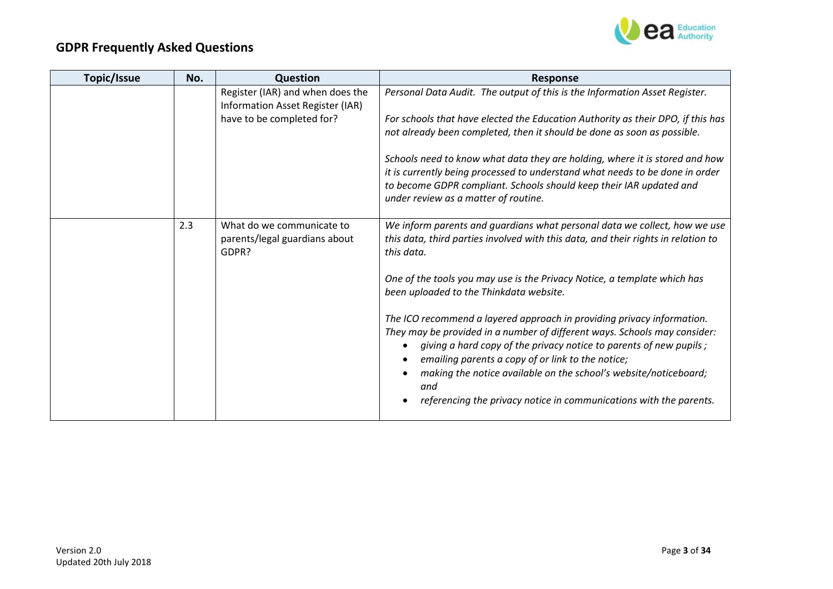

| Topic/Issue | No. | <b>Question</b>                                                      | <b>Response</b>                                                                                                                                                                                                                                                                                                                                                                                                                 |
|-------------|-----|----------------------------------------------------------------------|---------------------------------------------------------------------------------------------------------------------------------------------------------------------------------------------------------------------------------------------------------------------------------------------------------------------------------------------------------------------------------------------------------------------------------|
|             |     | Register (IAR) and when does the<br>Information Asset Register (IAR) | Personal Data Audit. The output of this is the Information Asset Register.                                                                                                                                                                                                                                                                                                                                                      |
|             |     | have to be completed for?                                            | For schools that have elected the Education Authority as their DPO, if this has                                                                                                                                                                                                                                                                                                                                                 |
|             |     |                                                                      | not already been completed, then it should be done as soon as possible.                                                                                                                                                                                                                                                                                                                                                         |
|             |     |                                                                      | Schools need to know what data they are holding, where it is stored and how<br>it is currently being processed to understand what needs to be done in order<br>to become GDPR compliant. Schools should keep their IAR updated and<br>under review as a matter of routine.                                                                                                                                                      |
|             | 2.3 | What do we communicate to<br>parents/legal guardians about<br>GDPR?  | We inform parents and guardians what personal data we collect, how we use<br>this data, third parties involved with this data, and their rights in relation to<br>this data.                                                                                                                                                                                                                                                    |
|             |     |                                                                      | One of the tools you may use is the Privacy Notice, a template which has<br>been uploaded to the Thinkdata website.                                                                                                                                                                                                                                                                                                             |
|             |     |                                                                      | The ICO recommend a layered approach in providing privacy information.<br>They may be provided in a number of different ways. Schools may consider:<br>giving a hard copy of the privacy notice to parents of new pupils;<br>emailing parents a copy of or link to the notice;<br>making the notice available on the school's website/noticeboard;<br>and<br>referencing the privacy notice in communications with the parents. |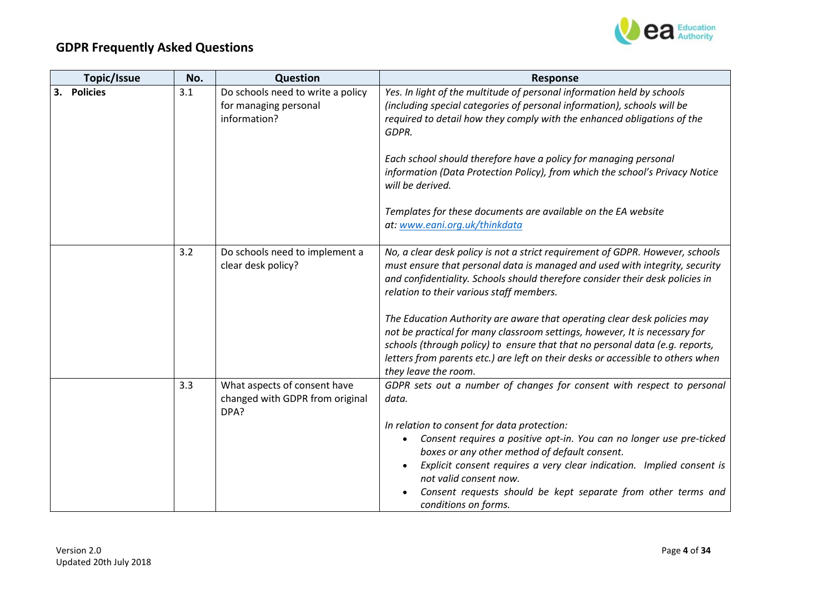

| Topic/Issue | No. | Question                                                                   | <b>Response</b>                                                                                                                                                                                                                                                                                                                                                                                                                                                                                                                                                                                                                                |
|-------------|-----|----------------------------------------------------------------------------|------------------------------------------------------------------------------------------------------------------------------------------------------------------------------------------------------------------------------------------------------------------------------------------------------------------------------------------------------------------------------------------------------------------------------------------------------------------------------------------------------------------------------------------------------------------------------------------------------------------------------------------------|
| 3. Policies | 3.1 | Do schools need to write a policy<br>for managing personal<br>information? | Yes. In light of the multitude of personal information held by schools<br>(including special categories of personal information), schools will be<br>required to detail how they comply with the enhanced obligations of the<br>GDPR.<br>Each school should therefore have a policy for managing personal<br>information (Data Protection Policy), from which the school's Privacy Notice<br>will be derived.<br>Templates for these documents are available on the EA website                                                                                                                                                                 |
|             |     |                                                                            | at: www.eani.org.uk/thinkdata                                                                                                                                                                                                                                                                                                                                                                                                                                                                                                                                                                                                                  |
|             | 3.2 | Do schools need to implement a<br>clear desk policy?                       | No, a clear desk policy is not a strict requirement of GDPR. However, schools<br>must ensure that personal data is managed and used with integrity, security<br>and confidentiality. Schools should therefore consider their desk policies in<br>relation to their various staff members.<br>The Education Authority are aware that operating clear desk policies may<br>not be practical for many classroom settings, however, It is necessary for<br>schools (through policy) to ensure that that no personal data (e.g. reports,<br>letters from parents etc.) are left on their desks or accessible to others when<br>they leave the room. |
|             | 3.3 | What aspects of consent have<br>changed with GDPR from original<br>DPA?    | GDPR sets out a number of changes for consent with respect to personal<br>data.<br>In relation to consent for data protection:<br>Consent requires a positive opt-in. You can no longer use pre-ticked<br>$\bullet$<br>boxes or any other method of default consent.<br>Explicit consent requires a very clear indication. Implied consent is<br>not valid consent now.<br>Consent requests should be kept separate from other terms and<br>conditions on forms.                                                                                                                                                                               |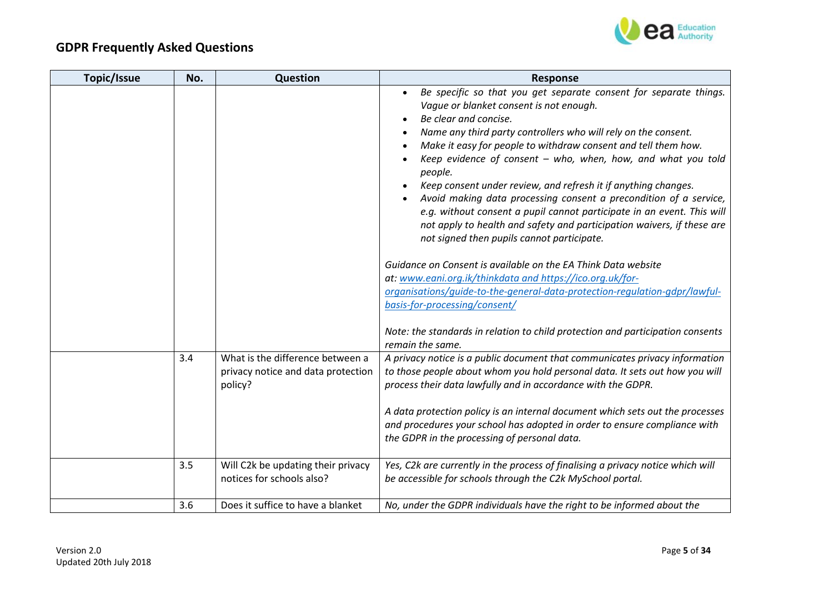

| Topic/Issue | No. | Question                                                                          | <b>Response</b>                                                                                                                                                                                                                                                                                                                                                                                                                                                                                                                                                                                                                                                                                                                                                                                                                                                                                                                            |
|-------------|-----|-----------------------------------------------------------------------------------|--------------------------------------------------------------------------------------------------------------------------------------------------------------------------------------------------------------------------------------------------------------------------------------------------------------------------------------------------------------------------------------------------------------------------------------------------------------------------------------------------------------------------------------------------------------------------------------------------------------------------------------------------------------------------------------------------------------------------------------------------------------------------------------------------------------------------------------------------------------------------------------------------------------------------------------------|
|             |     |                                                                                   | Be specific so that you get separate consent for separate things.<br>Vague or blanket consent is not enough.<br>Be clear and concise.<br>Name any third party controllers who will rely on the consent.<br>Make it easy for people to withdraw consent and tell them how.<br>Keep evidence of consent - who, when, how, and what you told<br>people.<br>Keep consent under review, and refresh it if anything changes.<br>Avoid making data processing consent a precondition of a service,<br>e.g. without consent a pupil cannot participate in an event. This will<br>not apply to health and safety and participation waivers, if these are<br>not signed then pupils cannot participate.<br>Guidance on Consent is available on the EA Think Data website<br>at: www.eani.org.ik/thinkdata and https://ico.org.uk/for-<br>organisations/quide-to-the-general-data-protection-requlation-gdpr/lawful-<br>basis-for-processing/consent/ |
|             |     |                                                                                   | Note: the standards in relation to child protection and participation consents<br>remain the same.                                                                                                                                                                                                                                                                                                                                                                                                                                                                                                                                                                                                                                                                                                                                                                                                                                         |
|             | 3.4 | What is the difference between a<br>privacy notice and data protection<br>policy? | A privacy notice is a public document that communicates privacy information<br>to those people about whom you hold personal data. It sets out how you will<br>process their data lawfully and in accordance with the GDPR.<br>A data protection policy is an internal document which sets out the processes<br>and procedures your school has adopted in order to ensure compliance with                                                                                                                                                                                                                                                                                                                                                                                                                                                                                                                                                   |
|             |     |                                                                                   | the GDPR in the processing of personal data.                                                                                                                                                                                                                                                                                                                                                                                                                                                                                                                                                                                                                                                                                                                                                                                                                                                                                               |
|             | 3.5 | Will C2k be updating their privacy<br>notices for schools also?                   | Yes, C2k are currently in the process of finalising a privacy notice which will<br>be accessible for schools through the C2k MySchool portal.                                                                                                                                                                                                                                                                                                                                                                                                                                                                                                                                                                                                                                                                                                                                                                                              |
|             | 3.6 | Does it suffice to have a blanket                                                 | No, under the GDPR individuals have the right to be informed about the                                                                                                                                                                                                                                                                                                                                                                                                                                                                                                                                                                                                                                                                                                                                                                                                                                                                     |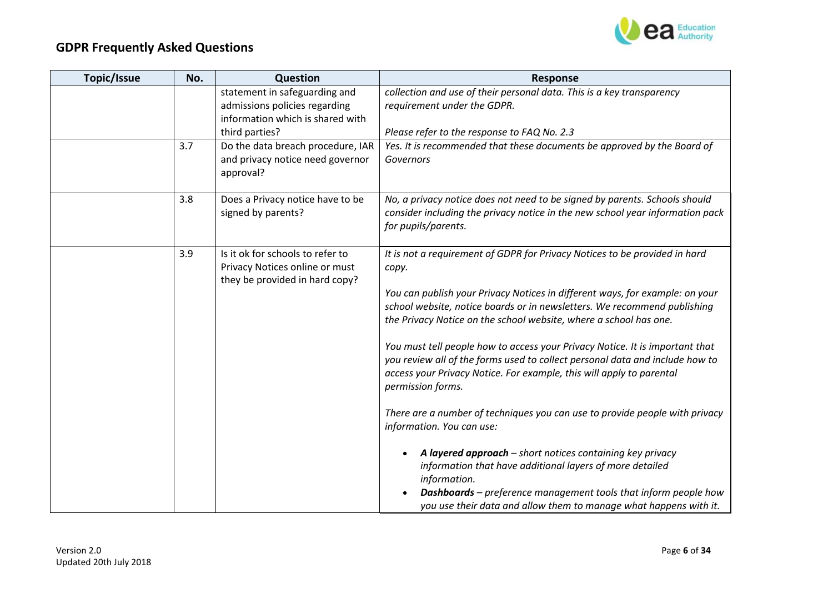

| <b>Topic/Issue</b> | No. | Question                                                                                                             | <b>Response</b>                                                                                                                                                                                                                                                                                                                                                                                                                                                                                                                                                                                                                                                                                                                                                                                                                                                                                                                                                                       |
|--------------------|-----|----------------------------------------------------------------------------------------------------------------------|---------------------------------------------------------------------------------------------------------------------------------------------------------------------------------------------------------------------------------------------------------------------------------------------------------------------------------------------------------------------------------------------------------------------------------------------------------------------------------------------------------------------------------------------------------------------------------------------------------------------------------------------------------------------------------------------------------------------------------------------------------------------------------------------------------------------------------------------------------------------------------------------------------------------------------------------------------------------------------------|
|                    |     | statement in safeguarding and<br>admissions policies regarding<br>information which is shared with<br>third parties? | collection and use of their personal data. This is a key transparency<br>requirement under the GDPR.<br>Please refer to the response to FAQ No. 2.3                                                                                                                                                                                                                                                                                                                                                                                                                                                                                                                                                                                                                                                                                                                                                                                                                                   |
|                    | 3.7 | Do the data breach procedure, IAR<br>and privacy notice need governor<br>approval?                                   | Yes. It is recommended that these documents be approved by the Board of<br>Governors                                                                                                                                                                                                                                                                                                                                                                                                                                                                                                                                                                                                                                                                                                                                                                                                                                                                                                  |
|                    | 3.8 | Does a Privacy notice have to be<br>signed by parents?                                                               | No, a privacy notice does not need to be signed by parents. Schools should<br>consider including the privacy notice in the new school year information pack<br>for pupils/parents.                                                                                                                                                                                                                                                                                                                                                                                                                                                                                                                                                                                                                                                                                                                                                                                                    |
|                    | 3.9 | Is it ok for schools to refer to<br>Privacy Notices online or must<br>they be provided in hard copy?                 | It is not a requirement of GDPR for Privacy Notices to be provided in hard<br>copy.<br>You can publish your Privacy Notices in different ways, for example: on your<br>school website, notice boards or in newsletters. We recommend publishing<br>the Privacy Notice on the school website, where a school has one.<br>You must tell people how to access your Privacy Notice. It is important that<br>you review all of the forms used to collect personal data and include how to<br>access your Privacy Notice. For example, this will apply to parental<br>permission forms.<br>There are a number of techniques you can use to provide people with privacy<br>information. You can use:<br>A layered approach - short notices containing key privacy<br>information that have additional layers of more detailed<br>information.<br><b>Dashboards</b> – preference management tools that inform people how<br>you use their data and allow them to manage what happens with it. |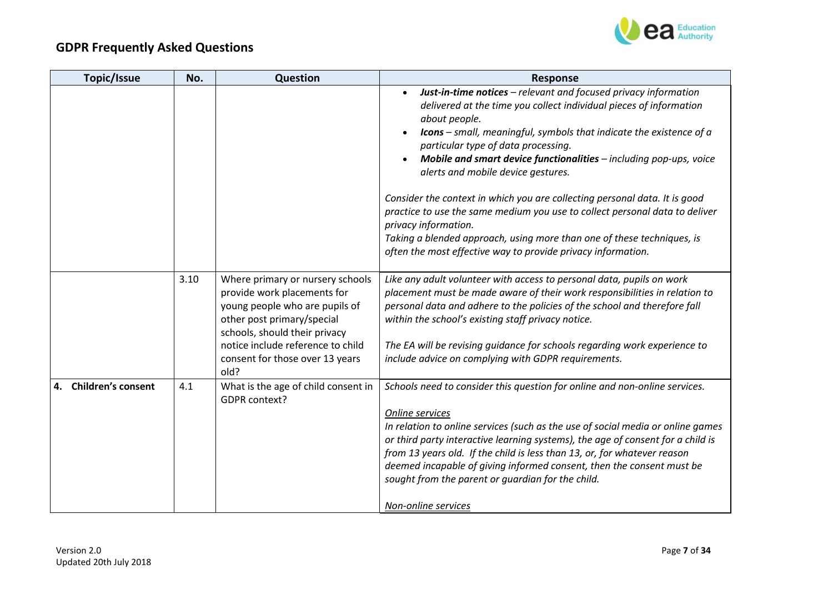

| Topic/Issue                     | No.  | Question                                                                                                                                                                                                                                         | <b>Response</b>                                                                                                                                                                                                                                                                                                                                                                                                                                                                                      |
|---------------------------------|------|--------------------------------------------------------------------------------------------------------------------------------------------------------------------------------------------------------------------------------------------------|------------------------------------------------------------------------------------------------------------------------------------------------------------------------------------------------------------------------------------------------------------------------------------------------------------------------------------------------------------------------------------------------------------------------------------------------------------------------------------------------------|
|                                 |      |                                                                                                                                                                                                                                                  | Just-in-time notices - relevant and focused privacy information<br>delivered at the time you collect individual pieces of information<br>about people.<br><b>Icons</b> – small, meaningful, symbols that indicate the existence of $a$<br>particular type of data processing.<br>Mobile and smart device functionalities - including pop-ups, voice<br>alerts and mobile device gestures.                                                                                                            |
|                                 |      |                                                                                                                                                                                                                                                  | Consider the context in which you are collecting personal data. It is good<br>practice to use the same medium you use to collect personal data to deliver<br>privacy information.<br>Taking a blended approach, using more than one of these techniques, is<br>often the most effective way to provide privacy information.                                                                                                                                                                          |
|                                 |      |                                                                                                                                                                                                                                                  |                                                                                                                                                                                                                                                                                                                                                                                                                                                                                                      |
|                                 | 3.10 | Where primary or nursery schools<br>provide work placements for<br>young people who are pupils of<br>other post primary/special<br>schools, should their privacy<br>notice include reference to child<br>consent for those over 13 years<br>old? | Like any adult volunteer with access to personal data, pupils on work<br>placement must be made aware of their work responsibilities in relation to<br>personal data and adhere to the policies of the school and therefore fall<br>within the school's existing staff privacy notice.<br>The EA will be revising guidance for schools regarding work experience to<br>include advice on complying with GDPR requirements.                                                                           |
| <b>Children's consent</b><br>4. | 4.1  | What is the age of child consent in<br>GDPR context?                                                                                                                                                                                             | Schools need to consider this question for online and non-online services.<br>Online services<br>In relation to online services (such as the use of social media or online games<br>or third party interactive learning systems), the age of consent for a child is<br>from 13 years old. If the child is less than 13, or, for whatever reason<br>deemed incapable of giving informed consent, then the consent must be<br>sought from the parent or guardian for the child.<br>Non-online services |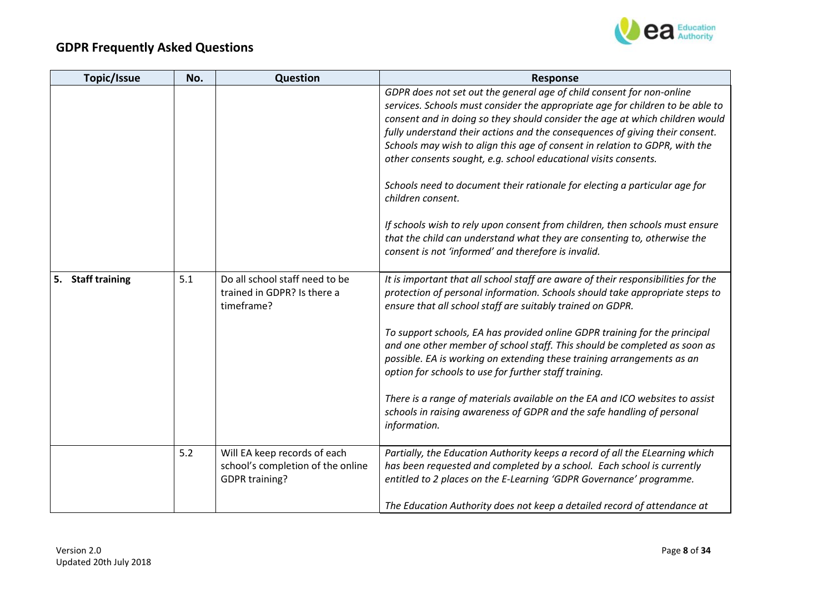

| <b>Topic/Issue</b> | No. | Question                                                                                   | <b>Response</b>                                                                                                                                                                                                                                                                                                                                                                                                                                                                                                                                                                                                                                                                                         |
|--------------------|-----|--------------------------------------------------------------------------------------------|---------------------------------------------------------------------------------------------------------------------------------------------------------------------------------------------------------------------------------------------------------------------------------------------------------------------------------------------------------------------------------------------------------------------------------------------------------------------------------------------------------------------------------------------------------------------------------------------------------------------------------------------------------------------------------------------------------|
|                    |     |                                                                                            | GDPR does not set out the general age of child consent for non-online<br>services. Schools must consider the appropriate age for children to be able to<br>consent and in doing so they should consider the age at which children would<br>fully understand their actions and the consequences of giving their consent.<br>Schools may wish to align this age of consent in relation to GDPR, with the<br>other consents sought, e.g. school educational visits consents.<br>Schools need to document their rationale for electing a particular age for<br>children consent.                                                                                                                            |
|                    |     |                                                                                            | If schools wish to rely upon consent from children, then schools must ensure<br>that the child can understand what they are consenting to, otherwise the<br>consent is not 'informed' and therefore is invalid.                                                                                                                                                                                                                                                                                                                                                                                                                                                                                         |
| 5. Staff training  | 5.1 | Do all school staff need to be<br>trained in GDPR? Is there a<br>timeframe?                | It is important that all school staff are aware of their responsibilities for the<br>protection of personal information. Schools should take appropriate steps to<br>ensure that all school staff are suitably trained on GDPR.<br>To support schools, EA has provided online GDPR training for the principal<br>and one other member of school staff. This should be completed as soon as<br>possible. EA is working on extending these training arrangements as an<br>option for schools to use for further staff training.<br>There is a range of materials available on the EA and ICO websites to assist<br>schools in raising awareness of GDPR and the safe handling of personal<br>information. |
|                    | 5.2 | Will EA keep records of each<br>school's completion of the online<br><b>GDPR training?</b> | Partially, the Education Authority keeps a record of all the ELearning which<br>has been requested and completed by a school. Each school is currently<br>entitled to 2 places on the E-Learning 'GDPR Governance' programme.<br>The Education Authority does not keep a detailed record of attendance at                                                                                                                                                                                                                                                                                                                                                                                               |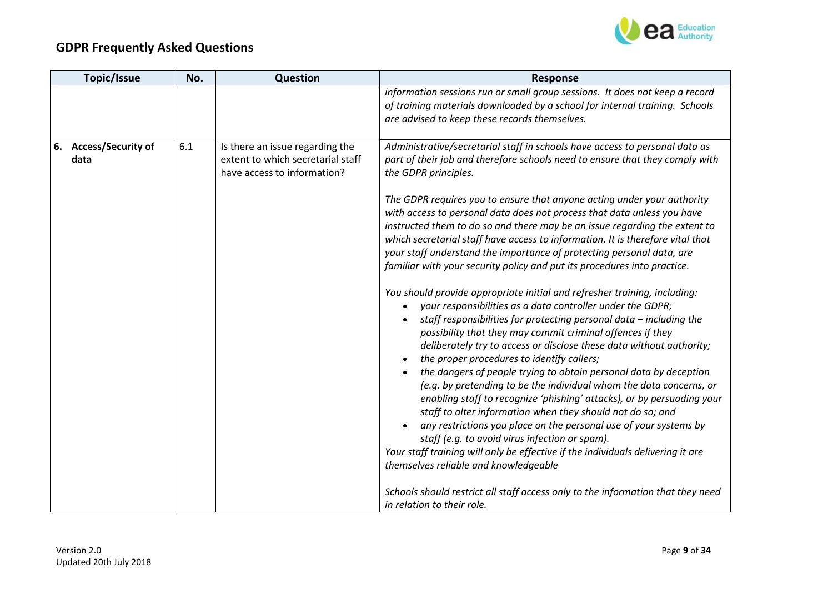

| Topic/Issue                             | No. | Question                                                                                            | <b>Response</b>                                                                                                                                                                                                                                                                                                                                                                                                                                                                                                                                                                                                                                                                                                                                                                                                                                                                                                                                                                                                                                                                                                                                                                                                                                                                                                                                                                                                                                                                                                                                                                                                                                                                                                              |
|-----------------------------------------|-----|-----------------------------------------------------------------------------------------------------|------------------------------------------------------------------------------------------------------------------------------------------------------------------------------------------------------------------------------------------------------------------------------------------------------------------------------------------------------------------------------------------------------------------------------------------------------------------------------------------------------------------------------------------------------------------------------------------------------------------------------------------------------------------------------------------------------------------------------------------------------------------------------------------------------------------------------------------------------------------------------------------------------------------------------------------------------------------------------------------------------------------------------------------------------------------------------------------------------------------------------------------------------------------------------------------------------------------------------------------------------------------------------------------------------------------------------------------------------------------------------------------------------------------------------------------------------------------------------------------------------------------------------------------------------------------------------------------------------------------------------------------------------------------------------------------------------------------------------|
|                                         |     |                                                                                                     | information sessions run or small group sessions. It does not keep a record<br>of training materials downloaded by a school for internal training. Schools<br>are advised to keep these records themselves.                                                                                                                                                                                                                                                                                                                                                                                                                                                                                                                                                                                                                                                                                                                                                                                                                                                                                                                                                                                                                                                                                                                                                                                                                                                                                                                                                                                                                                                                                                                  |
| <b>Access/Security of</b><br>6.<br>data | 6.1 | Is there an issue regarding the<br>extent to which secretarial staff<br>have access to information? | Administrative/secretarial staff in schools have access to personal data as<br>part of their job and therefore schools need to ensure that they comply with<br>the GDPR principles.<br>The GDPR requires you to ensure that anyone acting under your authority<br>with access to personal data does not process that data unless you have<br>instructed them to do so and there may be an issue regarding the extent to<br>which secretarial staff have access to information. It is therefore vital that<br>your staff understand the importance of protecting personal data, are<br>familiar with your security policy and put its procedures into practice.<br>You should provide appropriate initial and refresher training, including:<br>your responsibilities as a data controller under the GDPR;<br>staff responsibilities for protecting personal data - including the<br>possibility that they may commit criminal offences if they<br>deliberately try to access or disclose these data without authority;<br>the proper procedures to identify callers;<br>the dangers of people trying to obtain personal data by deception<br>(e.g. by pretending to be the individual whom the data concerns, or<br>enabling staff to recognize 'phishing' attacks), or by persuading your<br>staff to alter information when they should not do so; and<br>any restrictions you place on the personal use of your systems by<br>staff (e.g. to avoid virus infection or spam).<br>Your staff training will only be effective if the individuals delivering it are<br>themselves reliable and knowledgeable<br>Schools should restrict all staff access only to the information that they need<br>in relation to their role. |
|                                         |     |                                                                                                     |                                                                                                                                                                                                                                                                                                                                                                                                                                                                                                                                                                                                                                                                                                                                                                                                                                                                                                                                                                                                                                                                                                                                                                                                                                                                                                                                                                                                                                                                                                                                                                                                                                                                                                                              |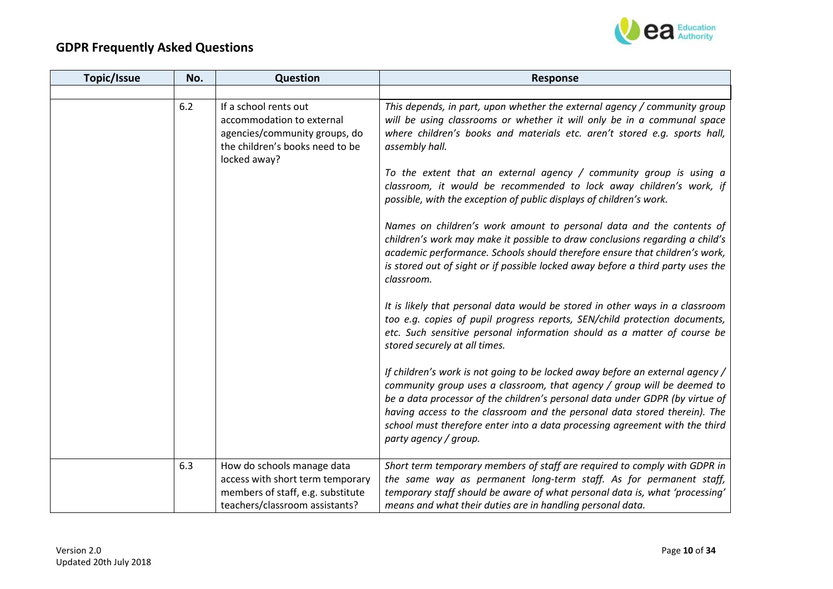

| <b>Topic/Issue</b> | No. | Question                                                                                                                               | <b>Response</b>                                                                                                                                                                                                                                                                                                                                                                                                                                                                                                                                                                                                                                                                                                                                                                                                                                                                                                                                                                                                                                             |
|--------------------|-----|----------------------------------------------------------------------------------------------------------------------------------------|-------------------------------------------------------------------------------------------------------------------------------------------------------------------------------------------------------------------------------------------------------------------------------------------------------------------------------------------------------------------------------------------------------------------------------------------------------------------------------------------------------------------------------------------------------------------------------------------------------------------------------------------------------------------------------------------------------------------------------------------------------------------------------------------------------------------------------------------------------------------------------------------------------------------------------------------------------------------------------------------------------------------------------------------------------------|
|                    |     |                                                                                                                                        |                                                                                                                                                                                                                                                                                                                                                                                                                                                                                                                                                                                                                                                                                                                                                                                                                                                                                                                                                                                                                                                             |
|                    | 6.2 | If a school rents out<br>accommodation to external<br>agencies/community groups, do<br>the children's books need to be<br>locked away? | This depends, in part, upon whether the external agency / community group<br>will be using classrooms or whether it will only be in a communal space<br>where children's books and materials etc. aren't stored e.g. sports hall,<br>assembly hall.<br>To the extent that an external agency $/$ community group is using a<br>classroom, it would be recommended to lock away children's work, if<br>possible, with the exception of public displays of children's work.<br>Names on children's work amount to personal data and the contents of<br>children's work may make it possible to draw conclusions regarding a child's<br>academic performance. Schools should therefore ensure that children's work,<br>is stored out of sight or if possible locked away before a third party uses the<br>classroom.<br>It is likely that personal data would be stored in other ways in a classroom<br>too e.g. copies of pupil progress reports, SEN/child protection documents,<br>etc. Such sensitive personal information should as a matter of course be |
|                    | 6.3 | How do schools manage data<br>access with short term temporary<br>members of staff, e.g. substitute<br>teachers/classroom assistants?  | stored securely at all times.<br>If children's work is not going to be locked away before an external agency /<br>community group uses a classroom, that agency / group will be deemed to<br>be a data processor of the children's personal data under GDPR (by virtue of<br>having access to the classroom and the personal data stored therein). The<br>school must therefore enter into a data processing agreement with the third<br>party agency / group.<br>Short term temporary members of staff are required to comply with GDPR in<br>the same way as permanent long-term staff. As for permanent staff,<br>temporary staff should be aware of what personal data is, what 'processing'<br>means and what their duties are in handling personal data.                                                                                                                                                                                                                                                                                              |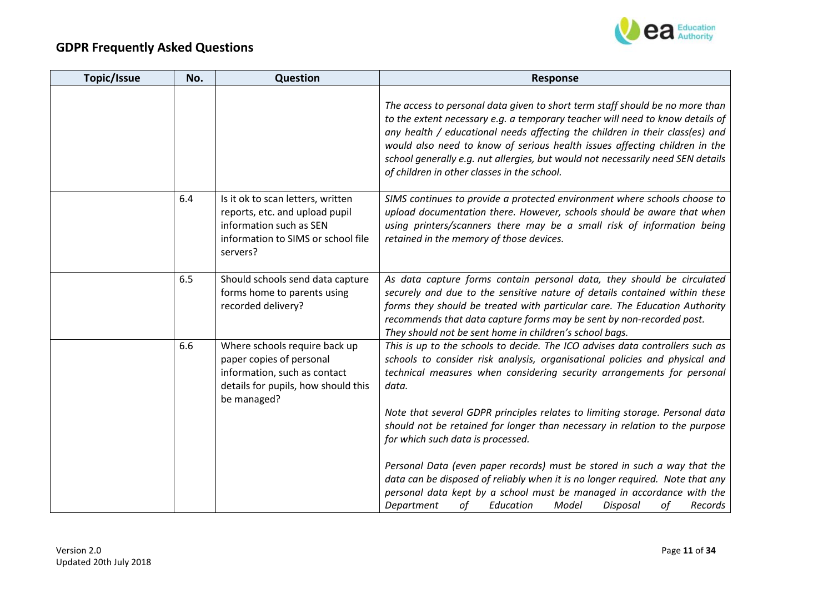

| <b>Topic/Issue</b> | No. | Question                                                                                                                                         | <b>Response</b>                                                                                                                                                                                                                                                                                                                                                                                                                                                                                                                                                                                                                                                                                                                                                  |
|--------------------|-----|--------------------------------------------------------------------------------------------------------------------------------------------------|------------------------------------------------------------------------------------------------------------------------------------------------------------------------------------------------------------------------------------------------------------------------------------------------------------------------------------------------------------------------------------------------------------------------------------------------------------------------------------------------------------------------------------------------------------------------------------------------------------------------------------------------------------------------------------------------------------------------------------------------------------------|
|                    |     |                                                                                                                                                  | The access to personal data given to short term staff should be no more than<br>to the extent necessary e.g. a temporary teacher will need to know details of<br>any health / educational needs affecting the children in their class(es) and<br>would also need to know of serious health issues affecting children in the<br>school generally e.g. nut allergies, but would not necessarily need SEN details<br>of children in other classes in the school.                                                                                                                                                                                                                                                                                                    |
|                    | 6.4 | Is it ok to scan letters, written<br>reports, etc. and upload pupil<br>information such as SEN<br>information to SIMS or school file<br>servers? | SIMS continues to provide a protected environment where schools choose to<br>upload documentation there. However, schools should be aware that when<br>using printers/scanners there may be a small risk of information being<br>retained in the memory of those devices.                                                                                                                                                                                                                                                                                                                                                                                                                                                                                        |
|                    | 6.5 | Should schools send data capture<br>forms home to parents using<br>recorded delivery?                                                            | As data capture forms contain personal data, they should be circulated<br>securely and due to the sensitive nature of details contained within these<br>forms they should be treated with particular care. The Education Authority<br>recommends that data capture forms may be sent by non-recorded post.<br>They should not be sent home in children's school bags.                                                                                                                                                                                                                                                                                                                                                                                            |
|                    | 6.6 | Where schools require back up<br>paper copies of personal<br>information, such as contact<br>details for pupils, how should this<br>be managed?  | This is up to the schools to decide. The ICO advises data controllers such as<br>schools to consider risk analysis, organisational policies and physical and<br>technical measures when considering security arrangements for personal<br>data.<br>Note that several GDPR principles relates to limiting storage. Personal data<br>should not be retained for longer than necessary in relation to the purpose<br>for which such data is processed.<br>Personal Data (even paper records) must be stored in such a way that the<br>data can be disposed of reliably when it is no longer required. Note that any<br>personal data kept by a school must be managed in accordance with the<br>0f<br>οf<br>Department<br>Education<br>Model<br>Disposal<br>Records |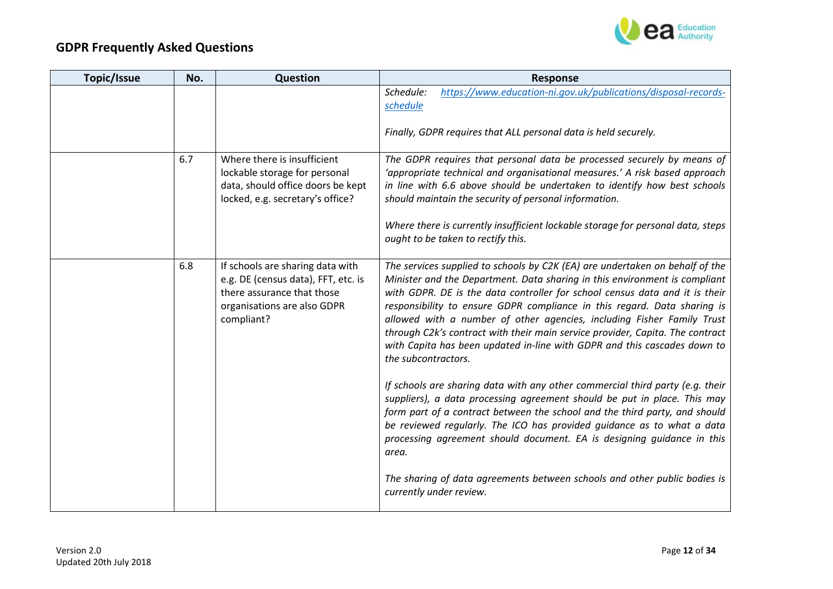

| Topic/Issue | No. | Question                                                                                                                                           | <b>Response</b>                                                                                                                                                                                                                                                                                                                                                                                                                                                                                                                                                                                                                                                      |
|-------------|-----|----------------------------------------------------------------------------------------------------------------------------------------------------|----------------------------------------------------------------------------------------------------------------------------------------------------------------------------------------------------------------------------------------------------------------------------------------------------------------------------------------------------------------------------------------------------------------------------------------------------------------------------------------------------------------------------------------------------------------------------------------------------------------------------------------------------------------------|
|             |     |                                                                                                                                                    | https://www.education-ni.gov.uk/publications/disposal-records-<br>Schedule:<br>schedule<br>Finally, GDPR requires that ALL personal data is held securely.                                                                                                                                                                                                                                                                                                                                                                                                                                                                                                           |
|             | 6.7 | Where there is insufficient<br>lockable storage for personal<br>data, should office doors be kept<br>locked, e.g. secretary's office?              | The GDPR requires that personal data be processed securely by means of<br>'appropriate technical and organisational measures.' A risk based approach<br>in line with 6.6 above should be undertaken to identify how best schools<br>should maintain the security of personal information.<br>Where there is currently insufficient lockable storage for personal data, steps<br>ought to be taken to rectify this.                                                                                                                                                                                                                                                   |
|             | 6.8 | If schools are sharing data with<br>e.g. DE (census data), FFT, etc. is<br>there assurance that those<br>organisations are also GDPR<br>compliant? | The services supplied to schools by C2K (EA) are undertaken on behalf of the<br>Minister and the Department. Data sharing in this environment is compliant<br>with GDPR. DE is the data controller for school census data and it is their<br>responsibility to ensure GDPR compliance in this regard. Data sharing is<br>allowed with a number of other agencies, including Fisher Family Trust<br>through C2k's contract with their main service provider, Capita. The contract<br>with Capita has been updated in-line with GDPR and this cascades down to<br>the subcontractors.<br>If schools are sharing data with any other commercial third party (e.g. their |
|             |     |                                                                                                                                                    | suppliers), a data processing agreement should be put in place. This may<br>form part of a contract between the school and the third party, and should<br>be reviewed regularly. The ICO has provided guidance as to what a data<br>processing agreement should document. EA is designing guidance in this<br>area.                                                                                                                                                                                                                                                                                                                                                  |
|             |     |                                                                                                                                                    | The sharing of data agreements between schools and other public bodies is<br>currently under review.                                                                                                                                                                                                                                                                                                                                                                                                                                                                                                                                                                 |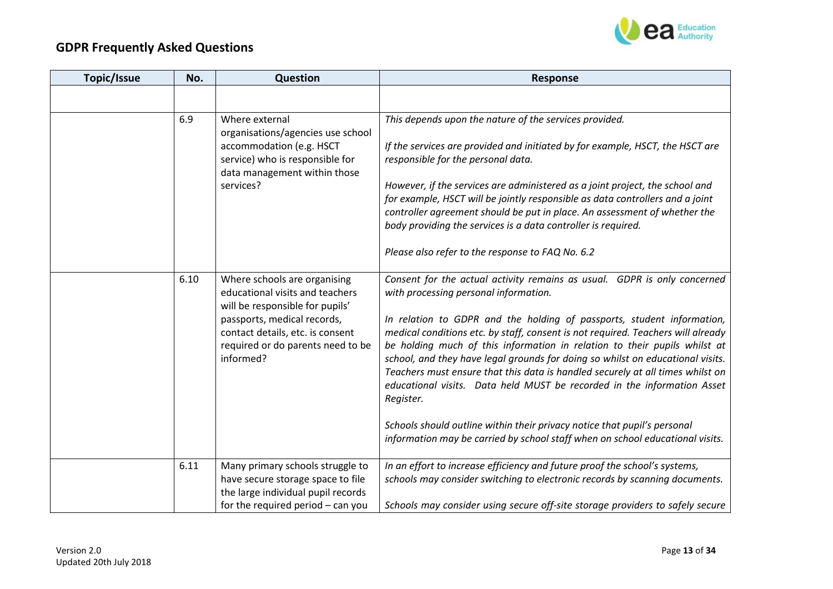

| <b>Topic/Issue</b> | No.  | Question                                                                                                                                                                                                                | <b>Response</b>                                                                                                                                                                                                                                                                                                                                                                                                                                                                                                                                                                                                                                                                                                                                                                       |
|--------------------|------|-------------------------------------------------------------------------------------------------------------------------------------------------------------------------------------------------------------------------|---------------------------------------------------------------------------------------------------------------------------------------------------------------------------------------------------------------------------------------------------------------------------------------------------------------------------------------------------------------------------------------------------------------------------------------------------------------------------------------------------------------------------------------------------------------------------------------------------------------------------------------------------------------------------------------------------------------------------------------------------------------------------------------|
|                    |      |                                                                                                                                                                                                                         |                                                                                                                                                                                                                                                                                                                                                                                                                                                                                                                                                                                                                                                                                                                                                                                       |
|                    | 6.9  | Where external<br>organisations/agencies use school<br>accommodation (e.g. HSCT<br>service) who is responsible for<br>data management within those<br>services?                                                         | This depends upon the nature of the services provided.<br>If the services are provided and initiated by for example, HSCT, the HSCT are<br>responsible for the personal data.<br>However, if the services are administered as a joint project, the school and<br>for example, HSCT will be jointly responsible as data controllers and a joint<br>controller agreement should be put in place. An assessment of whether the<br>body providing the services is a data controller is required.<br>Please also refer to the response to FAQ No. 6.2                                                                                                                                                                                                                                      |
|                    | 6.10 | Where schools are organising<br>educational visits and teachers<br>will be responsible for pupils'<br>passports, medical records,<br>contact details, etc. is consent<br>required or do parents need to be<br>informed? | Consent for the actual activity remains as usual. GDPR is only concerned<br>with processing personal information.<br>In relation to GDPR and the holding of passports, student information,<br>medical conditions etc. by staff, consent is not required. Teachers will already<br>be holding much of this information in relation to their pupils whilst at<br>school, and they have legal grounds for doing so whilst on educational visits.<br>Teachers must ensure that this data is handled securely at all times whilst on<br>educational visits. Data held MUST be recorded in the information Asset<br>Register.<br>Schools should outline within their privacy notice that pupil's personal<br>information may be carried by school staff when on school educational visits. |
|                    | 6.11 | Many primary schools struggle to<br>have secure storage space to file<br>the large individual pupil records<br>for the required period $-$ can you                                                                      | In an effort to increase efficiency and future proof the school's systems,<br>schools may consider switching to electronic records by scanning documents.<br>Schools may consider using secure off-site storage providers to safely secure                                                                                                                                                                                                                                                                                                                                                                                                                                                                                                                                            |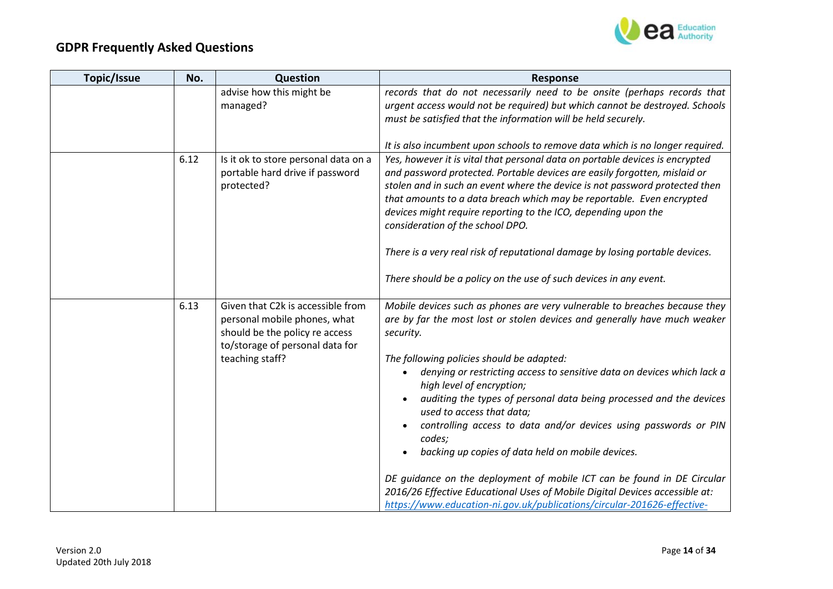

| <b>Topic/Issue</b> | No.  | Question                                                                                                                                                  | <b>Response</b>                                                                                                                                                                                                                                                                                                                                                                                                                                                                                                                                                  |
|--------------------|------|-----------------------------------------------------------------------------------------------------------------------------------------------------------|------------------------------------------------------------------------------------------------------------------------------------------------------------------------------------------------------------------------------------------------------------------------------------------------------------------------------------------------------------------------------------------------------------------------------------------------------------------------------------------------------------------------------------------------------------------|
|                    |      | advise how this might be<br>managed?                                                                                                                      | records that do not necessarily need to be onsite (perhaps records that<br>urgent access would not be required) but which cannot be destroyed. Schools<br>must be satisfied that the information will be held securely.                                                                                                                                                                                                                                                                                                                                          |
|                    | 6.12 | Is it ok to store personal data on a<br>portable hard drive if password<br>protected?                                                                     | It is also incumbent upon schools to remove data which is no longer required.<br>Yes, however it is vital that personal data on portable devices is encrypted<br>and password protected. Portable devices are easily forgotten, mislaid or<br>stolen and in such an event where the device is not password protected then<br>that amounts to a data breach which may be reportable. Even encrypted                                                                                                                                                               |
|                    |      |                                                                                                                                                           | devices might require reporting to the ICO, depending upon the<br>consideration of the school DPO.<br>There is a very real risk of reputational damage by losing portable devices.<br>There should be a policy on the use of such devices in any event.                                                                                                                                                                                                                                                                                                          |
|                    | 6.13 | Given that C2k is accessible from<br>personal mobile phones, what<br>should be the policy re access<br>to/storage of personal data for<br>teaching staff? | Mobile devices such as phones are very vulnerable to breaches because they<br>are by far the most lost or stolen devices and generally have much weaker<br>security.<br>The following policies should be adapted:<br>denying or restricting access to sensitive data on devices which lack a<br>high level of encryption;<br>auditing the types of personal data being processed and the devices<br>used to access that data;<br>controlling access to data and/or devices using passwords or PIN<br>codes;<br>backing up copies of data held on mobile devices. |
|                    |      |                                                                                                                                                           | DE guidance on the deployment of mobile ICT can be found in DE Circular<br>2016/26 Effective Educational Uses of Mobile Digital Devices accessible at:<br>https://www.education-ni.gov.uk/publications/circular-201626-effective-                                                                                                                                                                                                                                                                                                                                |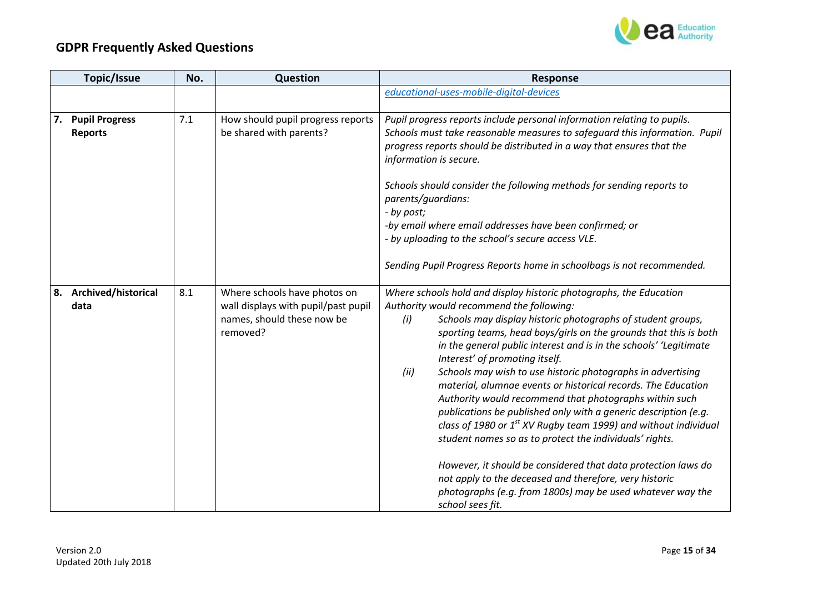

|    | <b>Topic/Issue</b>                      | No. | Question                                                                                                      | <b>Response</b>                                                                                                                                                                                                                                                                                                                                                                                                                                                                                                                                                                                                                                                                                                                                                                                                                                                                                                                                                                      |
|----|-----------------------------------------|-----|---------------------------------------------------------------------------------------------------------------|--------------------------------------------------------------------------------------------------------------------------------------------------------------------------------------------------------------------------------------------------------------------------------------------------------------------------------------------------------------------------------------------------------------------------------------------------------------------------------------------------------------------------------------------------------------------------------------------------------------------------------------------------------------------------------------------------------------------------------------------------------------------------------------------------------------------------------------------------------------------------------------------------------------------------------------------------------------------------------------|
|    |                                         |     |                                                                                                               | educational-uses-mobile-digital-devices                                                                                                                                                                                                                                                                                                                                                                                                                                                                                                                                                                                                                                                                                                                                                                                                                                                                                                                                              |
| 7. | <b>Pupil Progress</b><br><b>Reports</b> | 7.1 | How should pupil progress reports<br>be shared with parents?                                                  | Pupil progress reports include personal information relating to pupils.<br>Schools must take reasonable measures to safeguard this information. Pupil<br>progress reports should be distributed in a way that ensures that the<br>information is secure.<br>Schools should consider the following methods for sending reports to<br>parents/guardians:<br>- by post;<br>-by email where email addresses have been confirmed; or                                                                                                                                                                                                                                                                                                                                                                                                                                                                                                                                                      |
|    |                                         |     |                                                                                                               | - by uploading to the school's secure access VLE.<br>Sending Pupil Progress Reports home in schoolbags is not recommended.                                                                                                                                                                                                                                                                                                                                                                                                                                                                                                                                                                                                                                                                                                                                                                                                                                                           |
| 8. | Archived/historical<br>data             | 8.1 | Where schools have photos on<br>wall displays with pupil/past pupil<br>names, should these now be<br>removed? | Where schools hold and display historic photographs, the Education<br>Authority would recommend the following:<br>(i)<br>Schools may display historic photographs of student groups,<br>sporting teams, head boys/girls on the grounds that this is both<br>in the general public interest and is in the schools' 'Legitimate<br>Interest' of promoting itself.<br>(ii)<br>Schools may wish to use historic photographs in advertising<br>material, alumnae events or historical records. The Education<br>Authority would recommend that photographs within such<br>publications be published only with a generic description (e.g.<br>class of 1980 or $1^{st}$ XV Rugby team 1999) and without individual<br>student names so as to protect the individuals' rights.<br>However, it should be considered that data protection laws do<br>not apply to the deceased and therefore, very historic<br>photographs (e.g. from 1800s) may be used whatever way the<br>school sees fit. |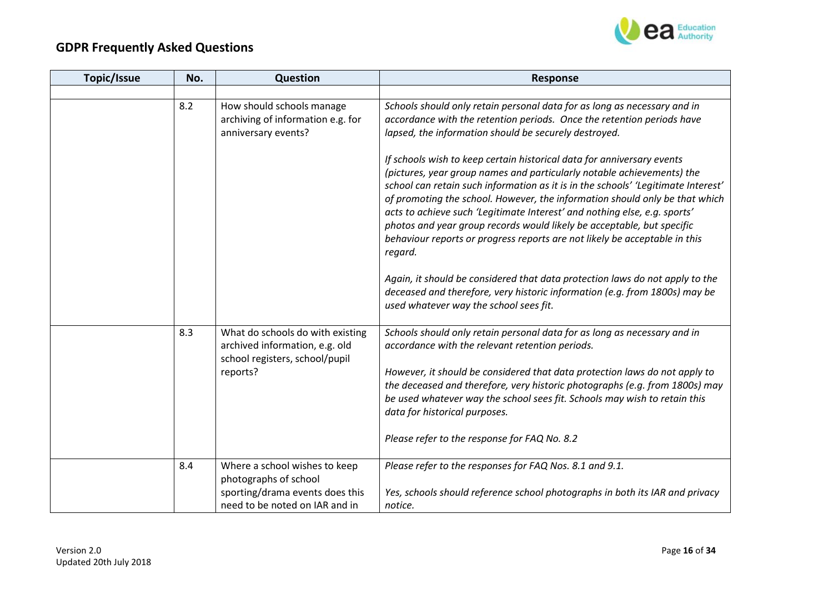

| Topic/Issue | No. | Question                                                                                                         | <b>Response</b>                                                                                                                                                                                                                                                                                                                                                                                                                                                                                                                                                      |
|-------------|-----|------------------------------------------------------------------------------------------------------------------|----------------------------------------------------------------------------------------------------------------------------------------------------------------------------------------------------------------------------------------------------------------------------------------------------------------------------------------------------------------------------------------------------------------------------------------------------------------------------------------------------------------------------------------------------------------------|
|             |     |                                                                                                                  |                                                                                                                                                                                                                                                                                                                                                                                                                                                                                                                                                                      |
|             | 8.2 | How should schools manage<br>archiving of information e.g. for<br>anniversary events?                            | Schools should only retain personal data for as long as necessary and in<br>accordance with the retention periods. Once the retention periods have<br>lapsed, the information should be securely destroyed.                                                                                                                                                                                                                                                                                                                                                          |
|             |     |                                                                                                                  | If schools wish to keep certain historical data for anniversary events<br>(pictures, year group names and particularly notable achievements) the<br>school can retain such information as it is in the schools' 'Legitimate Interest'<br>of promoting the school. However, the information should only be that which<br>acts to achieve such 'Legitimate Interest' and nothing else, e.g. sports'<br>photos and year group records would likely be acceptable, but specific<br>behaviour reports or progress reports are not likely be acceptable in this<br>regard. |
|             |     |                                                                                                                  | Again, it should be considered that data protection laws do not apply to the<br>deceased and therefore, very historic information (e.g. from 1800s) may be<br>used whatever way the school sees fit.                                                                                                                                                                                                                                                                                                                                                                 |
|             | 8.3 | What do schools do with existing<br>archived information, e.g. old<br>school registers, school/pupil<br>reports? | Schools should only retain personal data for as long as necessary and in<br>accordance with the relevant retention periods.<br>However, it should be considered that data protection laws do not apply to<br>the deceased and therefore, very historic photographs (e.g. from 1800s) may<br>be used whatever way the school sees fit. Schools may wish to retain this<br>data for historical purposes.                                                                                                                                                               |
|             |     |                                                                                                                  | Please refer to the response for FAQ No. 8.2                                                                                                                                                                                                                                                                                                                                                                                                                                                                                                                         |
|             | 8.4 | Where a school wishes to keep<br>photographs of school                                                           | Please refer to the responses for FAQ Nos. 8.1 and 9.1.                                                                                                                                                                                                                                                                                                                                                                                                                                                                                                              |
|             |     | sporting/drama events does this<br>need to be noted on IAR and in                                                | Yes, schools should reference school photographs in both its IAR and privacy<br>notice.                                                                                                                                                                                                                                                                                                                                                                                                                                                                              |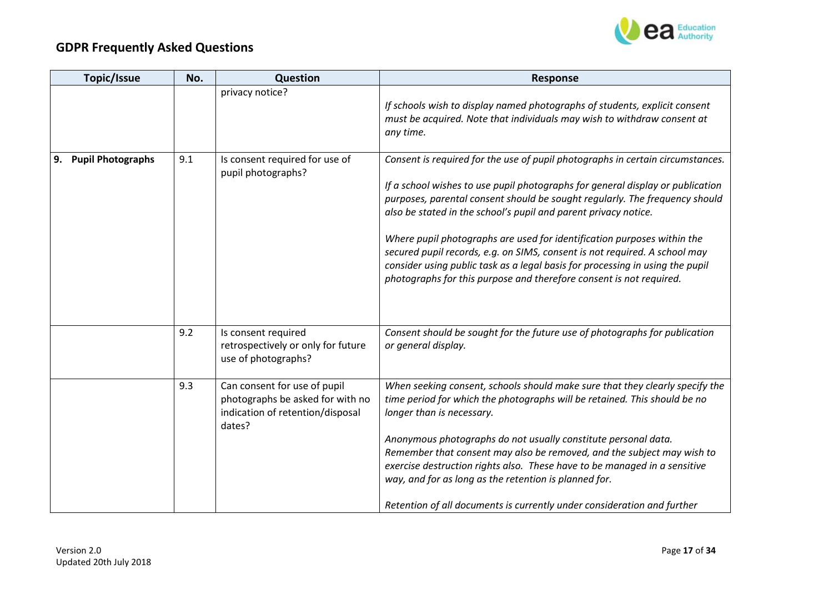

| Topic/Issue          | No. | Question                                                                                                       | <b>Response</b>                                                                                                                                                                                                                                                                                                                                                                                                                                                                                                                                                                                                                     |
|----------------------|-----|----------------------------------------------------------------------------------------------------------------|-------------------------------------------------------------------------------------------------------------------------------------------------------------------------------------------------------------------------------------------------------------------------------------------------------------------------------------------------------------------------------------------------------------------------------------------------------------------------------------------------------------------------------------------------------------------------------------------------------------------------------------|
|                      |     | privacy notice?                                                                                                | If schools wish to display named photographs of students, explicit consent<br>must be acquired. Note that individuals may wish to withdraw consent at<br>any time.                                                                                                                                                                                                                                                                                                                                                                                                                                                                  |
| 9. Pupil Photographs | 9.1 | Is consent required for use of<br>pupil photographs?                                                           | Consent is required for the use of pupil photographs in certain circumstances.<br>If a school wishes to use pupil photographs for general display or publication<br>purposes, parental consent should be sought regularly. The frequency should<br>also be stated in the school's pupil and parent privacy notice.<br>Where pupil photographs are used for identification purposes within the<br>secured pupil records, e.g. on SIMS, consent is not required. A school may<br>consider using public task as a legal basis for processing in using the pupil<br>photographs for this purpose and therefore consent is not required. |
|                      | 9.2 | Is consent required<br>retrospectively or only for future<br>use of photographs?                               | Consent should be sought for the future use of photographs for publication<br>or general display.                                                                                                                                                                                                                                                                                                                                                                                                                                                                                                                                   |
|                      | 9.3 | Can consent for use of pupil<br>photographs be asked for with no<br>indication of retention/disposal<br>dates? | When seeking consent, schools should make sure that they clearly specify the<br>time period for which the photographs will be retained. This should be no<br>longer than is necessary.<br>Anonymous photographs do not usually constitute personal data.<br>Remember that consent may also be removed, and the subject may wish to<br>exercise destruction rights also. These have to be managed in a sensitive<br>way, and for as long as the retention is planned for.<br>Retention of all documents is currently under consideration and further                                                                                 |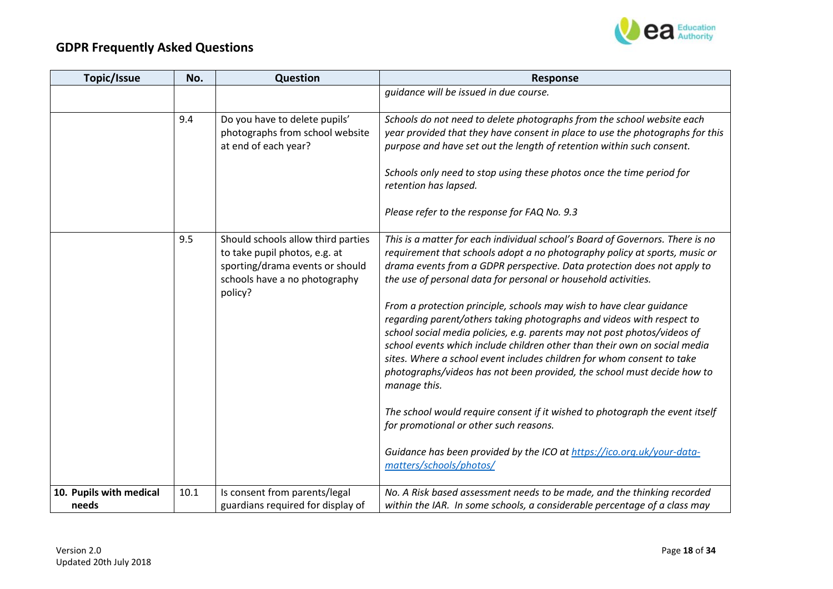

| Topic/Issue             | No.  | Question                                                                                                                                           | <b>Response</b>                                                                                                                                                                                                                                                                                                                                                                                                                                                                                                                                                                                                                                                                                                                                                                                                                                                                                                                                                                                                        |
|-------------------------|------|----------------------------------------------------------------------------------------------------------------------------------------------------|------------------------------------------------------------------------------------------------------------------------------------------------------------------------------------------------------------------------------------------------------------------------------------------------------------------------------------------------------------------------------------------------------------------------------------------------------------------------------------------------------------------------------------------------------------------------------------------------------------------------------------------------------------------------------------------------------------------------------------------------------------------------------------------------------------------------------------------------------------------------------------------------------------------------------------------------------------------------------------------------------------------------|
|                         |      |                                                                                                                                                    | quidance will be issued in due course.                                                                                                                                                                                                                                                                                                                                                                                                                                                                                                                                                                                                                                                                                                                                                                                                                                                                                                                                                                                 |
|                         | 9.4  | Do you have to delete pupils'<br>photographs from school website<br>at end of each year?                                                           | Schools do not need to delete photographs from the school website each<br>year provided that they have consent in place to use the photographs for this<br>purpose and have set out the length of retention within such consent.<br>Schools only need to stop using these photos once the time period for<br>retention has lapsed.<br>Please refer to the response for FAQ No. 9.3                                                                                                                                                                                                                                                                                                                                                                                                                                                                                                                                                                                                                                     |
|                         | 9.5  | Should schools allow third parties<br>to take pupil photos, e.g. at<br>sporting/drama events or should<br>schools have a no photography<br>policy? | This is a matter for each individual school's Board of Governors. There is no<br>requirement that schools adopt a no photography policy at sports, music or<br>drama events from a GDPR perspective. Data protection does not apply to<br>the use of personal data for personal or household activities.<br>From a protection principle, schools may wish to have clear guidance<br>regarding parent/others taking photographs and videos with respect to<br>school social media policies, e.g. parents may not post photos/videos of<br>school events which include children other than their own on social media<br>sites. Where a school event includes children for whom consent to take<br>photographs/videos has not been provided, the school must decide how to<br>manage this.<br>The school would require consent if it wished to photograph the event itself<br>for promotional or other such reasons.<br>Guidance has been provided by the ICO at https://ico.org.uk/your-data-<br>matters/schools/photos/ |
| 10. Pupils with medical | 10.1 | Is consent from parents/legal                                                                                                                      | No. A Risk based assessment needs to be made, and the thinking recorded                                                                                                                                                                                                                                                                                                                                                                                                                                                                                                                                                                                                                                                                                                                                                                                                                                                                                                                                                |
| needs                   |      | guardians required for display of                                                                                                                  | within the IAR. In some schools, a considerable percentage of a class may                                                                                                                                                                                                                                                                                                                                                                                                                                                                                                                                                                                                                                                                                                                                                                                                                                                                                                                                              |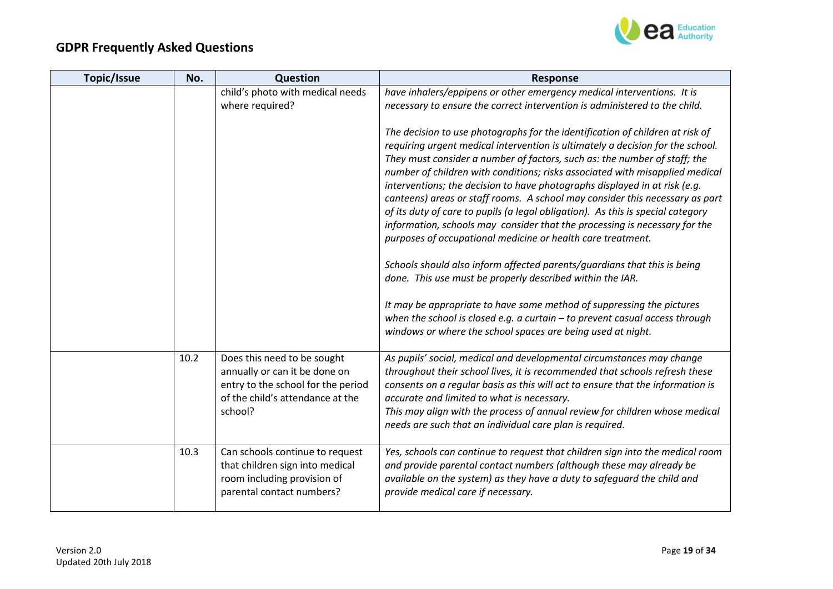

| Topic/Issue | No.  | Question                                                                                                                                          | <b>Response</b>                                                                                                                                                                                                                                                                                                                                                                                                                                                                                                                                                                                                                                                                                                                                                                                                                                                     |
|-------------|------|---------------------------------------------------------------------------------------------------------------------------------------------------|---------------------------------------------------------------------------------------------------------------------------------------------------------------------------------------------------------------------------------------------------------------------------------------------------------------------------------------------------------------------------------------------------------------------------------------------------------------------------------------------------------------------------------------------------------------------------------------------------------------------------------------------------------------------------------------------------------------------------------------------------------------------------------------------------------------------------------------------------------------------|
|             |      | child's photo with medical needs<br>where required?                                                                                               | have inhalers/eppipens or other emergency medical interventions. It is<br>necessary to ensure the correct intervention is administered to the child.                                                                                                                                                                                                                                                                                                                                                                                                                                                                                                                                                                                                                                                                                                                |
|             |      |                                                                                                                                                   | The decision to use photographs for the identification of children at risk of<br>requiring urgent medical intervention is ultimately a decision for the school.<br>They must consider a number of factors, such as: the number of staff; the<br>number of children with conditions; risks associated with misapplied medical<br>interventions; the decision to have photographs displayed in at risk (e.g.<br>canteens) areas or staff rooms. A school may consider this necessary as part<br>of its duty of care to pupils (a legal obligation). As this is special category<br>information, schools may consider that the processing is necessary for the<br>purposes of occupational medicine or health care treatment.<br>Schools should also inform affected parents/guardians that this is being<br>done. This use must be properly described within the IAR. |
|             |      |                                                                                                                                                   | It may be appropriate to have some method of suppressing the pictures<br>when the school is closed e.g. a curtain $-$ to prevent casual access through<br>windows or where the school spaces are being used at night.                                                                                                                                                                                                                                                                                                                                                                                                                                                                                                                                                                                                                                               |
|             | 10.2 | Does this need to be sought<br>annually or can it be done on<br>entry to the school for the period<br>of the child's attendance at the<br>school? | As pupils' social, medical and developmental circumstances may change<br>throughout their school lives, it is recommended that schools refresh these<br>consents on a regular basis as this will act to ensure that the information is<br>accurate and limited to what is necessary.<br>This may align with the process of annual review for children whose medical<br>needs are such that an individual care plan is required.                                                                                                                                                                                                                                                                                                                                                                                                                                     |
|             | 10.3 | Can schools continue to request<br>that children sign into medical<br>room including provision of<br>parental contact numbers?                    | Yes, schools can continue to request that children sign into the medical room<br>and provide parental contact numbers (although these may already be<br>available on the system) as they have a duty to safeguard the child and<br>provide medical care if necessary.                                                                                                                                                                                                                                                                                                                                                                                                                                                                                                                                                                                               |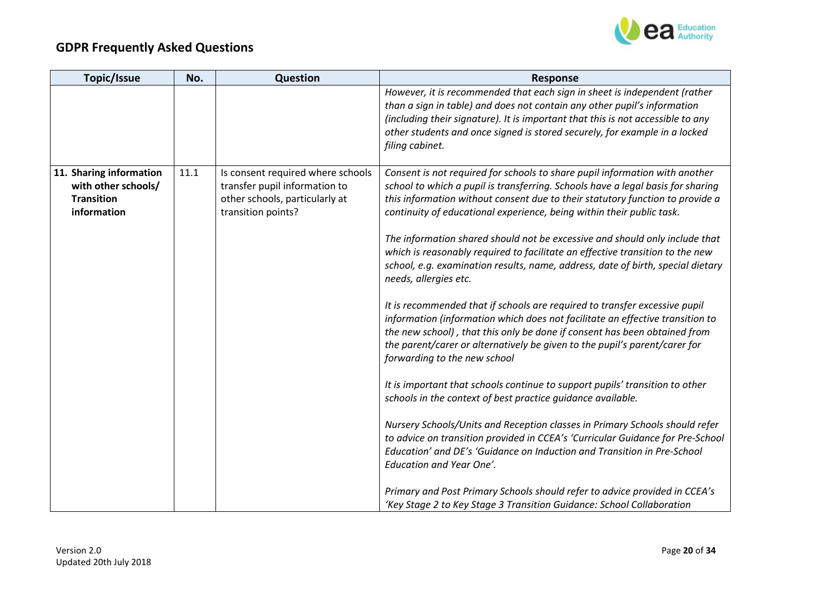

| Topic/Issue             | No.  | Question                          | <b>Response</b>                                                                                          |
|-------------------------|------|-----------------------------------|----------------------------------------------------------------------------------------------------------|
|                         |      |                                   | However, it is recommended that each sign in sheet is independent (rather                                |
|                         |      |                                   | than a sign in table) and does not contain any other pupil's information                                 |
|                         |      |                                   | (including their signature). It is important that this is not accessible to any                          |
|                         |      |                                   | other students and once signed is stored securely, for example in a locked                               |
|                         |      |                                   | filing cabinet.                                                                                          |
| 11. Sharing information | 11.1 | Is consent required where schools | Consent is not required for schools to share pupil information with another                              |
| with other schools/     |      | transfer pupil information to     | school to which a pupil is transferring. Schools have a legal basis for sharing                          |
| <b>Transition</b>       |      | other schools, particularly at    | this information without consent due to their statutory function to provide a                            |
| information             |      | transition points?                | continuity of educational experience, being within their public task.                                    |
|                         |      |                                   | The information shared should not be excessive and should only include that                              |
|                         |      |                                   | which is reasonably required to facilitate an effective transition to the new                            |
|                         |      |                                   | school, e.g. examination results, name, address, date of birth, special dietary<br>needs, allergies etc. |
|                         |      |                                   | It is recommended that if schools are required to transfer excessive pupil                               |
|                         |      |                                   | information (information which does not facilitate an effective transition to                            |
|                         |      |                                   | the new school), that this only be done if consent has been obtained from                                |
|                         |      |                                   | the parent/carer or alternatively be given to the pupil's parent/carer for                               |
|                         |      |                                   | forwarding to the new school                                                                             |
|                         |      |                                   | It is important that schools continue to support pupils' transition to other                             |
|                         |      |                                   | schools in the context of best practice guidance available.                                              |
|                         |      |                                   | Nursery Schools/Units and Reception classes in Primary Schools should refer                              |
|                         |      |                                   | to advice on transition provided in CCEA's 'Curricular Guidance for Pre-School                           |
|                         |      |                                   | Education' and DE's 'Guidance on Induction and Transition in Pre-School                                  |
|                         |      |                                   | <b>Education and Year One'.</b>                                                                          |
|                         |      |                                   | Primary and Post Primary Schools should refer to advice provided in CCEA's                               |
|                         |      |                                   | 'Key Stage 2 to Key Stage 3 Transition Guidance: School Collaboration                                    |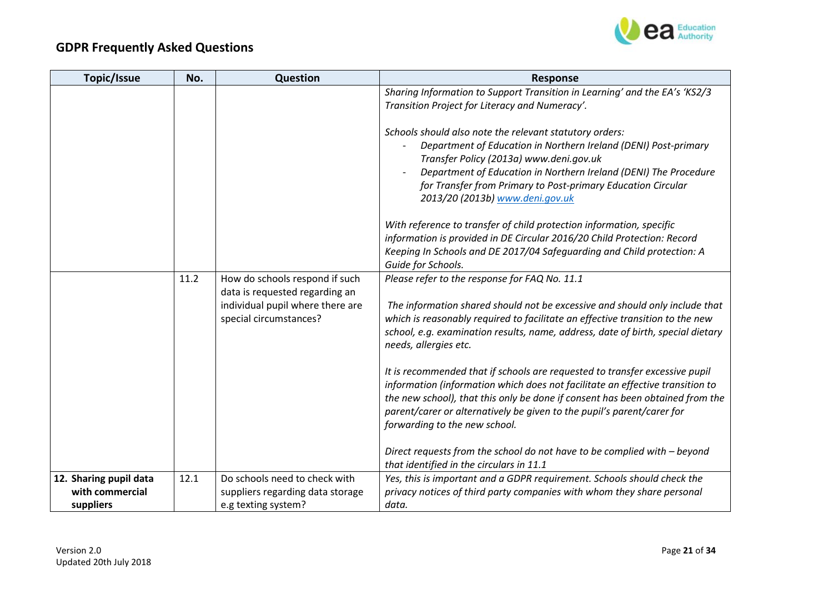

| <b>Topic/Issue</b>     | No.  | Question                                                           | <b>Response</b>                                                                 |
|------------------------|------|--------------------------------------------------------------------|---------------------------------------------------------------------------------|
|                        |      |                                                                    | Sharing Information to Support Transition in Learning' and the EA's 'KS2/3      |
|                        |      |                                                                    | Transition Project for Literacy and Numeracy'.                                  |
|                        |      |                                                                    |                                                                                 |
|                        |      |                                                                    | Schools should also note the relevant statutory orders:                         |
|                        |      |                                                                    | Department of Education in Northern Ireland (DENI) Post-primary                 |
|                        |      |                                                                    | Transfer Policy (2013a) www.deni.gov.uk                                         |
|                        |      |                                                                    | Department of Education in Northern Ireland (DENI) The Procedure                |
|                        |      |                                                                    | for Transfer from Primary to Post-primary Education Circular                    |
|                        |      |                                                                    | 2013/20 (2013b) www.deni.gov.uk                                                 |
|                        |      |                                                                    |                                                                                 |
|                        |      |                                                                    | With reference to transfer of child protection information, specific            |
|                        |      |                                                                    | information is provided in DE Circular 2016/20 Child Protection: Record         |
|                        |      |                                                                    | Keeping In Schools and DE 2017/04 Safeguarding and Child protection: A          |
|                        | 11.2 |                                                                    | Guide for Schools.                                                              |
|                        |      | How do schools respond if such                                     | Please refer to the response for FAQ No. 11.1                                   |
|                        |      | data is requested regarding an<br>individual pupil where there are | The information shared should not be excessive and should only include that     |
|                        |      | special circumstances?                                             | which is reasonably required to facilitate an effective transition to the new   |
|                        |      |                                                                    | school, e.g. examination results, name, address, date of birth, special dietary |
|                        |      |                                                                    | needs, allergies etc.                                                           |
|                        |      |                                                                    |                                                                                 |
|                        |      |                                                                    | It is recommended that if schools are requested to transfer excessive pupil     |
|                        |      |                                                                    | information (information which does not facilitate an effective transition to   |
|                        |      |                                                                    | the new school), that this only be done if consent has been obtained from the   |
|                        |      |                                                                    | parent/carer or alternatively be given to the pupil's parent/carer for          |
|                        |      |                                                                    | forwarding to the new school.                                                   |
|                        |      |                                                                    |                                                                                 |
|                        |      |                                                                    | Direct requests from the school do not have to be complied with - beyond        |
|                        |      |                                                                    | that identified in the circulars in 11.1                                        |
| 12. Sharing pupil data | 12.1 | Do schools need to check with                                      | Yes, this is important and a GDPR requirement. Schools should check the         |
| with commercial        |      | suppliers regarding data storage                                   | privacy notices of third party companies with whom they share personal          |
| suppliers              |      | e.g texting system?                                                | data.                                                                           |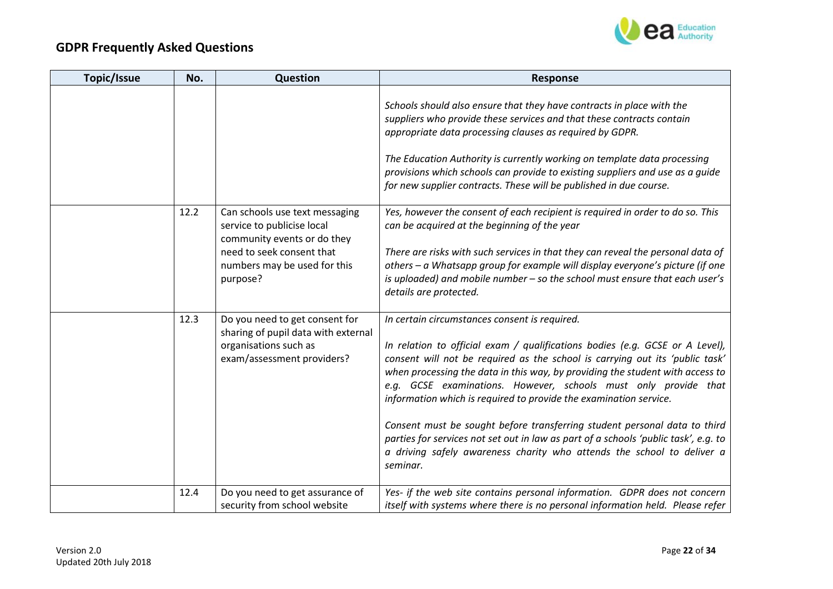

| Topic/Issue | No.  | Question                                                                                                                                                             | <b>Response</b>                                                                                                                                                                                                                                                                                                                                                                                                                                                                                                                                                                                                                                                                                  |
|-------------|------|----------------------------------------------------------------------------------------------------------------------------------------------------------------------|--------------------------------------------------------------------------------------------------------------------------------------------------------------------------------------------------------------------------------------------------------------------------------------------------------------------------------------------------------------------------------------------------------------------------------------------------------------------------------------------------------------------------------------------------------------------------------------------------------------------------------------------------------------------------------------------------|
|             |      |                                                                                                                                                                      | Schools should also ensure that they have contracts in place with the<br>suppliers who provide these services and that these contracts contain<br>appropriate data processing clauses as required by GDPR.<br>The Education Authority is currently working on template data processing<br>provisions which schools can provide to existing suppliers and use as a guide<br>for new supplier contracts. These will be published in due course.                                                                                                                                                                                                                                                    |
|             | 12.2 | Can schools use text messaging<br>service to publicise local<br>community events or do they<br>need to seek consent that<br>numbers may be used for this<br>purpose? | Yes, however the consent of each recipient is required in order to do so. This<br>can be acquired at the beginning of the year<br>There are risks with such services in that they can reveal the personal data of<br>others - a Whatsapp group for example will display everyone's picture (if one<br>is uploaded) and mobile number - so the school must ensure that each user's<br>details are protected.                                                                                                                                                                                                                                                                                      |
|             | 12.3 | Do you need to get consent for<br>sharing of pupil data with external<br>organisations such as<br>exam/assessment providers?                                         | In certain circumstances consent is required.<br>In relation to official exam / qualifications bodies (e.g. GCSE or A Level),<br>consent will not be required as the school is carrying out its 'public task'<br>when processing the data in this way, by providing the student with access to<br>e.g. GCSE examinations. However, schools must only provide that<br>information which is required to provide the examination service.<br>Consent must be sought before transferring student personal data to third<br>parties for services not set out in law as part of a schools 'public task', e.g. to<br>a driving safely awareness charity who attends the school to deliver a<br>seminar. |
|             | 12.4 | Do you need to get assurance of<br>security from school website                                                                                                      | Yes- if the web site contains personal information. GDPR does not concern<br>itself with systems where there is no personal information held. Please refer                                                                                                                                                                                                                                                                                                                                                                                                                                                                                                                                       |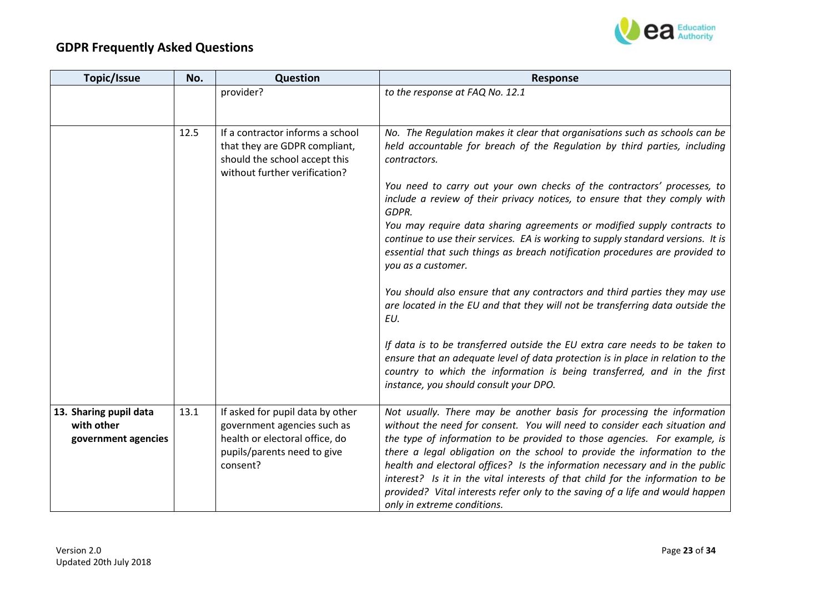

| Topic/Issue                                                 | No.  | Question                                                                                                                                     | <b>Response</b>                                                                                                                                                                                                                                                                                                                                                                                                                                                                                                                                                                                 |
|-------------------------------------------------------------|------|----------------------------------------------------------------------------------------------------------------------------------------------|-------------------------------------------------------------------------------------------------------------------------------------------------------------------------------------------------------------------------------------------------------------------------------------------------------------------------------------------------------------------------------------------------------------------------------------------------------------------------------------------------------------------------------------------------------------------------------------------------|
|                                                             |      | provider?                                                                                                                                    | to the response at FAQ No. 12.1                                                                                                                                                                                                                                                                                                                                                                                                                                                                                                                                                                 |
|                                                             |      |                                                                                                                                              |                                                                                                                                                                                                                                                                                                                                                                                                                                                                                                                                                                                                 |
|                                                             | 12.5 | If a contractor informs a school<br>that they are GDPR compliant,<br>should the school accept this<br>without further verification?          | No. The Regulation makes it clear that organisations such as schools can be<br>held accountable for breach of the Regulation by third parties, including<br>contractors.                                                                                                                                                                                                                                                                                                                                                                                                                        |
|                                                             |      |                                                                                                                                              | You need to carry out your own checks of the contractors' processes, to<br>include a review of their privacy notices, to ensure that they comply with<br>GDPR.                                                                                                                                                                                                                                                                                                                                                                                                                                  |
|                                                             |      |                                                                                                                                              | You may require data sharing agreements or modified supply contracts to<br>continue to use their services. EA is working to supply standard versions. It is<br>essential that such things as breach notification procedures are provided to<br>you as a customer.                                                                                                                                                                                                                                                                                                                               |
|                                                             |      |                                                                                                                                              | You should also ensure that any contractors and third parties they may use<br>are located in the EU and that they will not be transferring data outside the<br>EU.                                                                                                                                                                                                                                                                                                                                                                                                                              |
|                                                             |      |                                                                                                                                              | If data is to be transferred outside the EU extra care needs to be taken to<br>ensure that an adequate level of data protection is in place in relation to the<br>country to which the information is being transferred, and in the first<br>instance, you should consult your DPO.                                                                                                                                                                                                                                                                                                             |
| 13. Sharing pupil data<br>with other<br>government agencies | 13.1 | If asked for pupil data by other<br>government agencies such as<br>health or electoral office, do<br>pupils/parents need to give<br>consent? | Not usually. There may be another basis for processing the information<br>without the need for consent. You will need to consider each situation and<br>the type of information to be provided to those agencies. For example, is<br>there a legal obligation on the school to provide the information to the<br>health and electoral offices? Is the information necessary and in the public<br>interest? Is it in the vital interests of that child for the information to be<br>provided? Vital interests refer only to the saving of a life and would happen<br>only in extreme conditions. |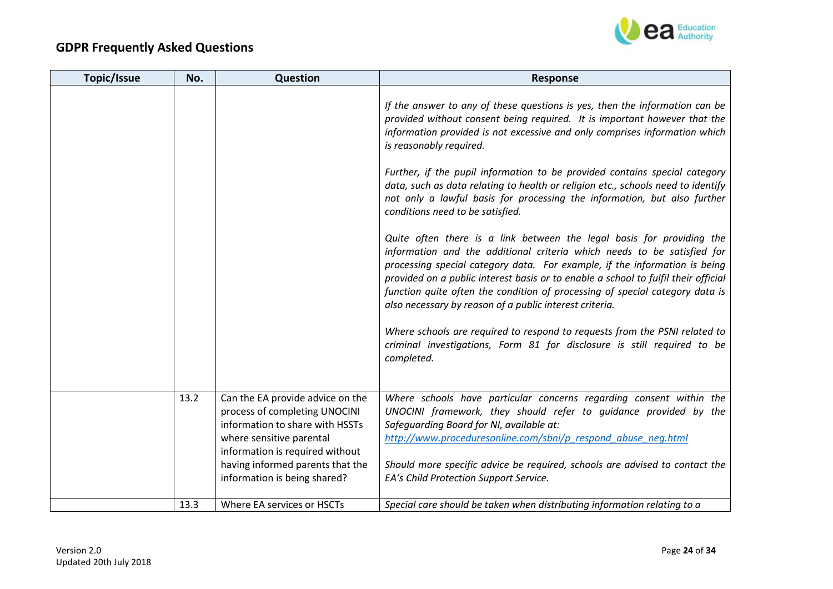

| Topic/Issue | No.  | Question                                                                                                                                                                                                | <b>Response</b>                                                                                                                                                                                                                                                                                                                                                                                                                                                 |
|-------------|------|---------------------------------------------------------------------------------------------------------------------------------------------------------------------------------------------------------|-----------------------------------------------------------------------------------------------------------------------------------------------------------------------------------------------------------------------------------------------------------------------------------------------------------------------------------------------------------------------------------------------------------------------------------------------------------------|
|             |      |                                                                                                                                                                                                         | If the answer to any of these questions is yes, then the information can be<br>provided without consent being required. It is important however that the<br>information provided is not excessive and only comprises information which<br>is reasonably required.                                                                                                                                                                                               |
|             |      |                                                                                                                                                                                                         | Further, if the pupil information to be provided contains special category<br>data, such as data relating to health or religion etc., schools need to identify<br>not only a lawful basis for processing the information, but also further<br>conditions need to be satisfied.                                                                                                                                                                                  |
|             |      |                                                                                                                                                                                                         | Quite often there is a link between the legal basis for providing the<br>information and the additional criteria which needs to be satisfied for<br>processing special category data. For example, if the information is being<br>provided on a public interest basis or to enable a school to fulfil their official<br>function quite often the condition of processing of special category data is<br>also necessary by reason of a public interest criteria. |
|             |      |                                                                                                                                                                                                         | Where schools are required to respond to requests from the PSNI related to<br>criminal investigations, Form 81 for disclosure is still required to be<br>completed.                                                                                                                                                                                                                                                                                             |
|             | 13.2 | Can the EA provide advice on the<br>process of completing UNOCINI<br>information to share with HSSTs<br>where sensitive parental<br>information is required without<br>having informed parents that the | Where schools have particular concerns regarding consent within the<br>UNOCINI framework, they should refer to guidance provided by the<br>Safeguarding Board for NI, available at:<br>http://www.proceduresonline.com/sbni/p respond abuse neg.html<br>Should more specific advice be required, schools are advised to contact the                                                                                                                             |
|             |      | information is being shared?                                                                                                                                                                            | EA's Child Protection Support Service.                                                                                                                                                                                                                                                                                                                                                                                                                          |
|             | 13.3 | Where EA services or HSCTs                                                                                                                                                                              | Special care should be taken when distributing information relating to a                                                                                                                                                                                                                                                                                                                                                                                        |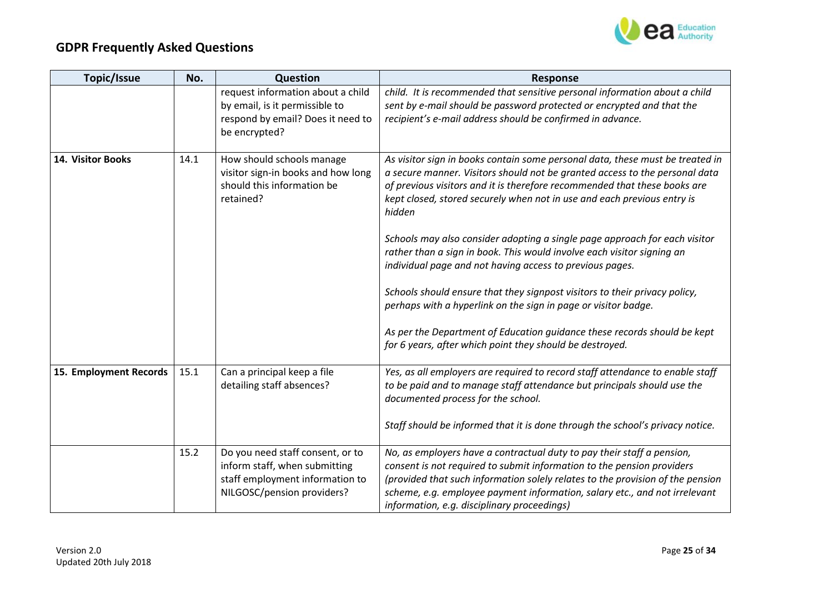

| Topic/Issue            | No.  | Question                                                                                                                           | <b>Response</b>                                                                                                                                                                                                                                                                                                                                                                                                                                                                                                                                                                                                                                                                                                                                                                                                                            |
|------------------------|------|------------------------------------------------------------------------------------------------------------------------------------|--------------------------------------------------------------------------------------------------------------------------------------------------------------------------------------------------------------------------------------------------------------------------------------------------------------------------------------------------------------------------------------------------------------------------------------------------------------------------------------------------------------------------------------------------------------------------------------------------------------------------------------------------------------------------------------------------------------------------------------------------------------------------------------------------------------------------------------------|
|                        |      | request information about a child<br>by email, is it permissible to<br>respond by email? Does it need to<br>be encrypted?          | child. It is recommended that sensitive personal information about a child<br>sent by e-mail should be password protected or encrypted and that the<br>recipient's e-mail address should be confirmed in advance.                                                                                                                                                                                                                                                                                                                                                                                                                                                                                                                                                                                                                          |
| 14. Visitor Books      | 14.1 | How should schools manage<br>visitor sign-in books and how long<br>should this information be<br>retained?                         | As visitor sign in books contain some personal data, these must be treated in<br>a secure manner. Visitors should not be granted access to the personal data<br>of previous visitors and it is therefore recommended that these books are<br>kept closed, stored securely when not in use and each previous entry is<br>hidden<br>Schools may also consider adopting a single page approach for each visitor<br>rather than a sign in book. This would involve each visitor signing an<br>individual page and not having access to previous pages.<br>Schools should ensure that they signpost visitors to their privacy policy,<br>perhaps with a hyperlink on the sign in page or visitor badge.<br>As per the Department of Education guidance these records should be kept<br>for 6 years, after which point they should be destroyed. |
| 15. Employment Records | 15.1 | Can a principal keep a file<br>detailing staff absences?                                                                           | Yes, as all employers are required to record staff attendance to enable staff<br>to be paid and to manage staff attendance but principals should use the<br>documented process for the school.<br>Staff should be informed that it is done through the school's privacy notice.                                                                                                                                                                                                                                                                                                                                                                                                                                                                                                                                                            |
|                        |      |                                                                                                                                    |                                                                                                                                                                                                                                                                                                                                                                                                                                                                                                                                                                                                                                                                                                                                                                                                                                            |
|                        | 15.2 | Do you need staff consent, or to<br>inform staff, when submitting<br>staff employment information to<br>NILGOSC/pension providers? | No, as employers have a contractual duty to pay their staff a pension,<br>consent is not required to submit information to the pension providers<br>(provided that such information solely relates to the provision of the pension<br>scheme, e.g. employee payment information, salary etc., and not irrelevant<br>information, e.g. disciplinary proceedings)                                                                                                                                                                                                                                                                                                                                                                                                                                                                            |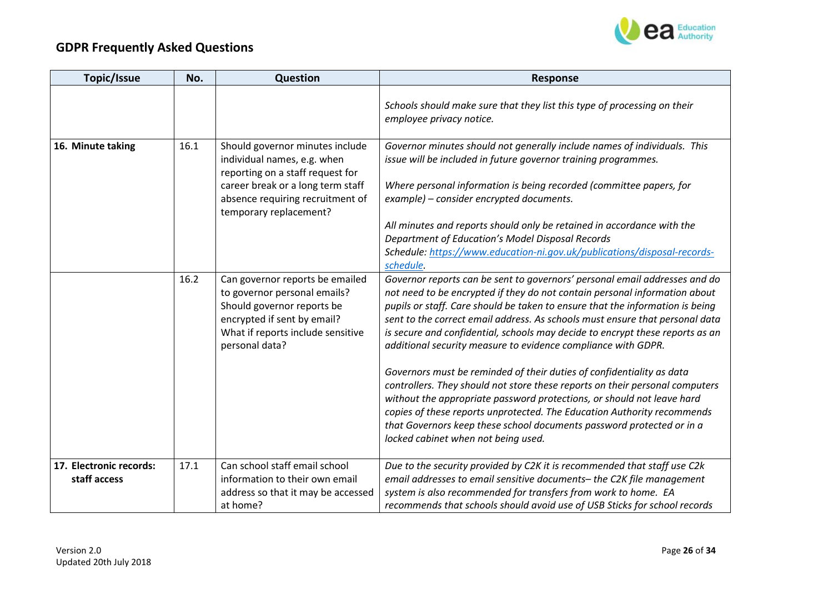

| Topic/Issue                             | No.  | Question                                                                                                                                                                                              | <b>Response</b>                                                                                                                                                                                                                                                                                                                                                                                                                                                                                                                                                                                                                                                                                                                                                                                                                                                                                           |
|-----------------------------------------|------|-------------------------------------------------------------------------------------------------------------------------------------------------------------------------------------------------------|-----------------------------------------------------------------------------------------------------------------------------------------------------------------------------------------------------------------------------------------------------------------------------------------------------------------------------------------------------------------------------------------------------------------------------------------------------------------------------------------------------------------------------------------------------------------------------------------------------------------------------------------------------------------------------------------------------------------------------------------------------------------------------------------------------------------------------------------------------------------------------------------------------------|
|                                         |      |                                                                                                                                                                                                       | Schools should make sure that they list this type of processing on their<br>employee privacy notice.                                                                                                                                                                                                                                                                                                                                                                                                                                                                                                                                                                                                                                                                                                                                                                                                      |
| 16. Minute taking                       | 16.1 | Should governor minutes include<br>individual names, e.g. when<br>reporting on a staff request for<br>career break or a long term staff<br>absence requiring recruitment of<br>temporary replacement? | Governor minutes should not generally include names of individuals. This<br>issue will be included in future governor training programmes.<br>Where personal information is being recorded (committee papers, for<br>example) – consider encrypted documents.<br>All minutes and reports should only be retained in accordance with the<br><b>Department of Education's Model Disposal Records</b>                                                                                                                                                                                                                                                                                                                                                                                                                                                                                                        |
|                                         |      |                                                                                                                                                                                                       | Schedule: https://www.education-ni.gov.uk/publications/disposal-records-<br>schedule.                                                                                                                                                                                                                                                                                                                                                                                                                                                                                                                                                                                                                                                                                                                                                                                                                     |
|                                         | 16.2 | Can governor reports be emailed<br>to governor personal emails?<br>Should governor reports be<br>encrypted if sent by email?<br>What if reports include sensitive<br>personal data?                   | Governor reports can be sent to governors' personal email addresses and do<br>not need to be encrypted if they do not contain personal information about<br>pupils or staff. Care should be taken to ensure that the information is being<br>sent to the correct email address. As schools must ensure that personal data<br>is secure and confidential, schools may decide to encrypt these reports as an<br>additional security measure to evidence compliance with GDPR.<br>Governors must be reminded of their duties of confidentiality as data<br>controllers. They should not store these reports on their personal computers<br>without the appropriate password protections, or should not leave hard<br>copies of these reports unprotected. The Education Authority recommends<br>that Governors keep these school documents password protected or in a<br>locked cabinet when not being used. |
| 17. Electronic records:<br>staff access | 17.1 | Can school staff email school<br>information to their own email<br>address so that it may be accessed<br>at home?                                                                                     | Due to the security provided by C2K it is recommended that staff use C2k<br>email addresses to email sensitive documents- the C2K file management<br>system is also recommended for transfers from work to home. EA<br>recommends that schools should avoid use of USB Sticks for school records                                                                                                                                                                                                                                                                                                                                                                                                                                                                                                                                                                                                          |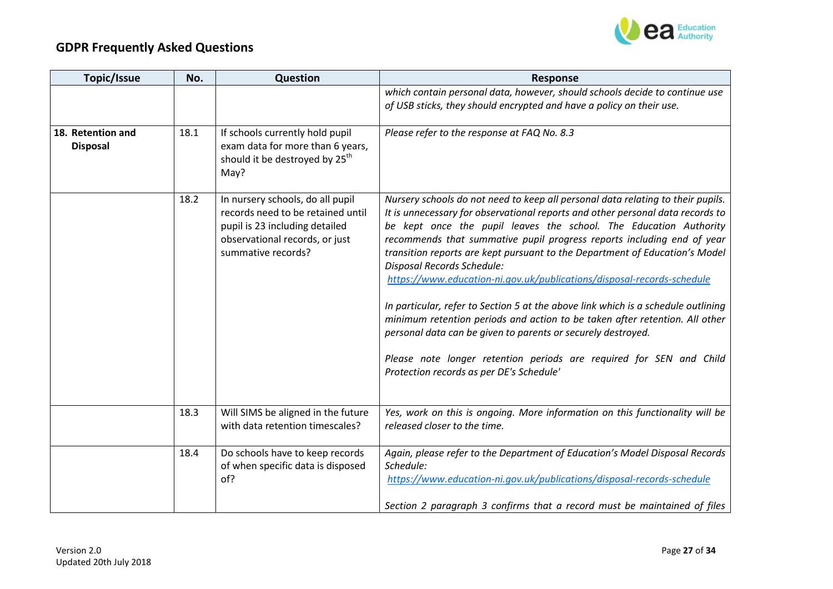

| Topic/Issue                          | No.  | Question                                                                                                                                                        | <b>Response</b>                                                                                                                                                                                                                                                                                                                                                                                                                                                                                                                                                                                                                                                                                                                                                                                                                                                |
|--------------------------------------|------|-----------------------------------------------------------------------------------------------------------------------------------------------------------------|----------------------------------------------------------------------------------------------------------------------------------------------------------------------------------------------------------------------------------------------------------------------------------------------------------------------------------------------------------------------------------------------------------------------------------------------------------------------------------------------------------------------------------------------------------------------------------------------------------------------------------------------------------------------------------------------------------------------------------------------------------------------------------------------------------------------------------------------------------------|
|                                      |      |                                                                                                                                                                 | which contain personal data, however, should schools decide to continue use<br>of USB sticks, they should encrypted and have a policy on their use.                                                                                                                                                                                                                                                                                                                                                                                                                                                                                                                                                                                                                                                                                                            |
| 18. Retention and<br><b>Disposal</b> | 18.1 | If schools currently hold pupil<br>exam data for more than 6 years,<br>should it be destroyed by 25 <sup>th</sup><br>May?                                       | Please refer to the response at FAQ No. 8.3                                                                                                                                                                                                                                                                                                                                                                                                                                                                                                                                                                                                                                                                                                                                                                                                                    |
|                                      | 18.2 | In nursery schools, do all pupil<br>records need to be retained until<br>pupil is 23 including detailed<br>observational records, or just<br>summative records? | Nursery schools do not need to keep all personal data relating to their pupils.<br>It is unnecessary for observational reports and other personal data records to<br>be kept once the pupil leaves the school. The Education Authority<br>recommends that summative pupil progress reports including end of year<br>transition reports are kept pursuant to the Department of Education's Model<br>Disposal Records Schedule:<br>https://www.education-ni.gov.uk/publications/disposal-records-schedule<br>In particular, refer to Section 5 at the above link which is a schedule outlining<br>minimum retention periods and action to be taken after retention. All other<br>personal data can be given to parents or securely destroyed.<br>Please note longer retention periods are required for SEN and Child<br>Protection records as per DE's Schedule' |
|                                      | 18.3 | Will SIMS be aligned in the future<br>with data retention timescales?                                                                                           | Yes, work on this is ongoing. More information on this functionality will be<br>released closer to the time.                                                                                                                                                                                                                                                                                                                                                                                                                                                                                                                                                                                                                                                                                                                                                   |
|                                      | 18.4 | Do schools have to keep records<br>of when specific data is disposed<br>of?                                                                                     | Again, please refer to the Department of Education's Model Disposal Records<br>Schedule:<br>https://www.education-ni.gov.uk/publications/disposal-records-schedule<br>Section 2 paragraph 3 confirms that a record must be maintained of files                                                                                                                                                                                                                                                                                                                                                                                                                                                                                                                                                                                                                 |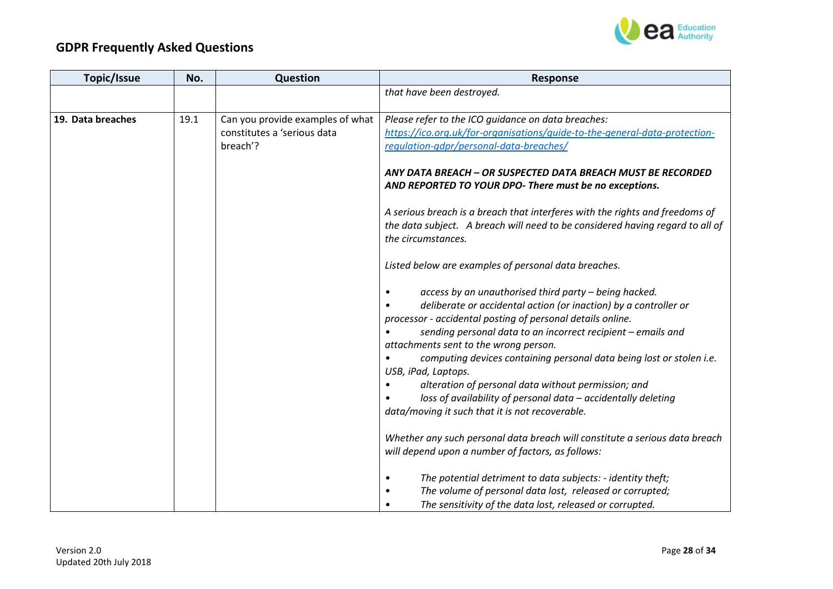

| Topic/Issue       | No.  | Question                         | <b>Response</b>                                                                             |
|-------------------|------|----------------------------------|---------------------------------------------------------------------------------------------|
|                   |      |                                  | that have been destroyed.                                                                   |
|                   |      |                                  |                                                                                             |
| 19. Data breaches | 19.1 | Can you provide examples of what | Please refer to the ICO guidance on data breaches:                                          |
|                   |      | constitutes a 'serious data      | https://ico.org.uk/for-organisations/guide-to-the-general-data-protection-                  |
|                   |      | breach'?                         | requlation-gdpr/personal-data-breaches/                                                     |
|                   |      |                                  | ANY DATA BREACH - OR SUSPECTED DATA BREACH MUST BE RECORDED                                 |
|                   |      |                                  | AND REPORTED TO YOUR DPO- There must be no exceptions.                                      |
|                   |      |                                  | A serious breach is a breach that interferes with the rights and freedoms of                |
|                   |      |                                  | the data subject. A breach will need to be considered having regard to all of               |
|                   |      |                                  | the circumstances.                                                                          |
|                   |      |                                  | Listed below are examples of personal data breaches.                                        |
|                   |      |                                  | access by an unauthorised third party - being hacked.                                       |
|                   |      |                                  | deliberate or accidental action (or inaction) by a controller or                            |
|                   |      |                                  | processor - accidental posting of personal details online.                                  |
|                   |      |                                  | sending personal data to an incorrect recipient - emails and                                |
|                   |      |                                  | attachments sent to the wrong person.                                                       |
|                   |      |                                  | computing devices containing personal data being lost or stolen i.e.<br>USB, iPad, Laptops. |
|                   |      |                                  | alteration of personal data without permission; and                                         |
|                   |      |                                  | loss of availability of personal data - accidentally deleting                               |
|                   |      |                                  | data/moving it such that it is not recoverable.                                             |
|                   |      |                                  |                                                                                             |
|                   |      |                                  | Whether any such personal data breach will constitute a serious data breach                 |
|                   |      |                                  | will depend upon a number of factors, as follows:                                           |
|                   |      |                                  | The potential detriment to data subjects: - identity theft;<br>$\bullet$                    |
|                   |      |                                  | The volume of personal data lost, released or corrupted;<br>$\bullet$                       |
|                   |      |                                  | The sensitivity of the data lost, released or corrupted.                                    |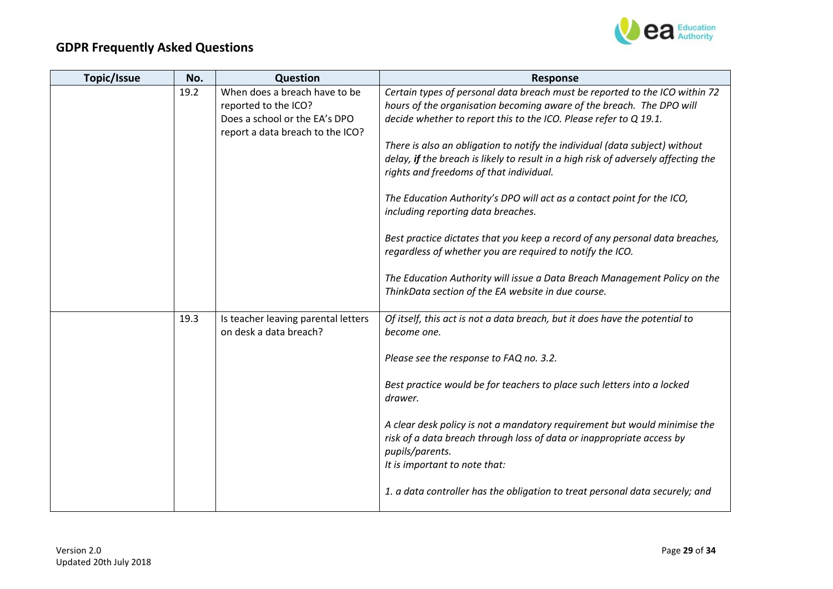

| Topic/Issue | No.  | Question                                                      | <b>Response</b>                                                                            |
|-------------|------|---------------------------------------------------------------|--------------------------------------------------------------------------------------------|
|             | 19.2 | When does a breach have to be                                 | Certain types of personal data breach must be reported to the ICO within 72                |
|             |      | reported to the ICO?                                          | hours of the organisation becoming aware of the breach. The DPO will                       |
|             |      | Does a school or the EA's DPO                                 | decide whether to report this to the ICO. Please refer to Q 19.1.                          |
|             |      | report a data breach to the ICO?                              |                                                                                            |
|             |      |                                                               | There is also an obligation to notify the individual (data subject) without                |
|             |      |                                                               | delay, if the breach is likely to result in a high risk of adversely affecting the         |
|             |      |                                                               | rights and freedoms of that individual.                                                    |
|             |      |                                                               | The Education Authority's DPO will act as a contact point for the ICO,                     |
|             |      |                                                               | including reporting data breaches.                                                         |
|             |      |                                                               | Best practice dictates that you keep a record of any personal data breaches,               |
|             |      |                                                               | regardless of whether you are required to notify the ICO.                                  |
|             |      |                                                               |                                                                                            |
|             |      |                                                               | The Education Authority will issue a Data Breach Management Policy on the                  |
|             |      |                                                               | ThinkData section of the EA website in due course.                                         |
|             |      |                                                               |                                                                                            |
|             | 19.3 | Is teacher leaving parental letters<br>on desk a data breach? | Of itself, this act is not a data breach, but it does have the potential to<br>become one. |
|             |      |                                                               |                                                                                            |
|             |      |                                                               | Please see the response to FAQ no. 3.2.                                                    |
|             |      |                                                               |                                                                                            |
|             |      |                                                               | Best practice would be for teachers to place such letters into a locked<br>drawer.         |
|             |      |                                                               |                                                                                            |
|             |      |                                                               | A clear desk policy is not a mandatory requirement but would minimise the                  |
|             |      |                                                               | risk of a data breach through loss of data or inappropriate access by                      |
|             |      |                                                               | pupils/parents.                                                                            |
|             |      |                                                               | It is important to note that:                                                              |
|             |      |                                                               | 1. a data controller has the obligation to treat personal data securely; and               |
|             |      |                                                               |                                                                                            |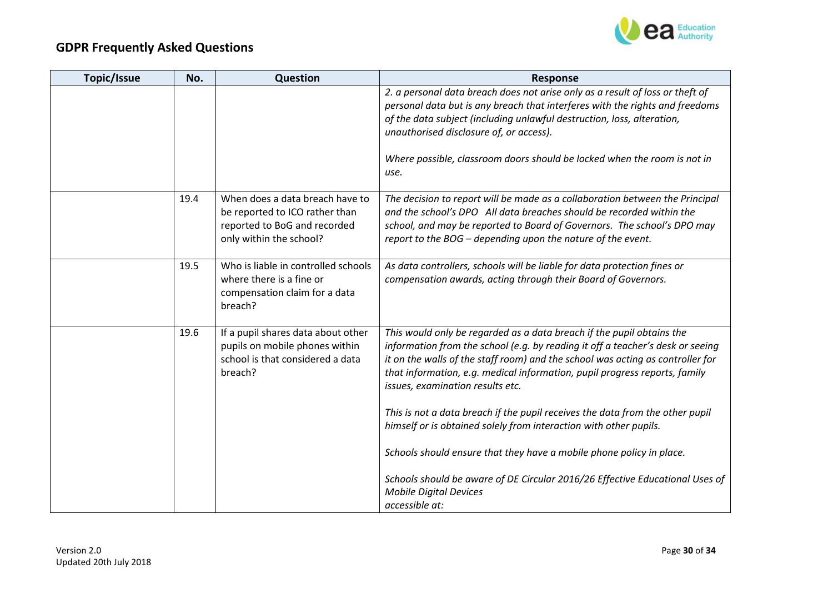

| Topic/Issue | No.  | Question                                                                                                                     | <b>Response</b>                                                                                                                                                                                                                                                                                                                                             |
|-------------|------|------------------------------------------------------------------------------------------------------------------------------|-------------------------------------------------------------------------------------------------------------------------------------------------------------------------------------------------------------------------------------------------------------------------------------------------------------------------------------------------------------|
|             |      |                                                                                                                              | 2. a personal data breach does not arise only as a result of loss or theft of<br>personal data but is any breach that interferes with the rights and freedoms                                                                                                                                                                                               |
|             |      |                                                                                                                              | of the data subject (including unlawful destruction, loss, alteration,<br>unauthorised disclosure of, or access).                                                                                                                                                                                                                                           |
|             |      |                                                                                                                              | Where possible, classroom doors should be locked when the room is not in<br>use.                                                                                                                                                                                                                                                                            |
|             | 19.4 | When does a data breach have to<br>be reported to ICO rather than<br>reported to BoG and recorded<br>only within the school? | The decision to report will be made as a collaboration between the Principal<br>and the school's DPO All data breaches should be recorded within the<br>school, and may be reported to Board of Governors. The school's DPO may<br>report to the BOG - depending upon the nature of the event.                                                              |
|             | 19.5 | Who is liable in controlled schools<br>where there is a fine or<br>compensation claim for a data<br>breach?                  | As data controllers, schools will be liable for data protection fines or<br>compensation awards, acting through their Board of Governors.                                                                                                                                                                                                                   |
|             | 19.6 | If a pupil shares data about other<br>pupils on mobile phones within<br>school is that considered a data<br>breach?          | This would only be regarded as a data breach if the pupil obtains the<br>information from the school (e.g. by reading it off a teacher's desk or seeing<br>it on the walls of the staff room) and the school was acting as controller for<br>that information, e.g. medical information, pupil progress reports, family<br>issues, examination results etc. |
|             |      |                                                                                                                              | This is not a data breach if the pupil receives the data from the other pupil<br>himself or is obtained solely from interaction with other pupils.                                                                                                                                                                                                          |
|             |      |                                                                                                                              | Schools should ensure that they have a mobile phone policy in place.                                                                                                                                                                                                                                                                                        |
|             |      |                                                                                                                              | Schools should be aware of DE Circular 2016/26 Effective Educational Uses of<br><b>Mobile Digital Devices</b>                                                                                                                                                                                                                                               |
|             |      |                                                                                                                              | accessible at:                                                                                                                                                                                                                                                                                                                                              |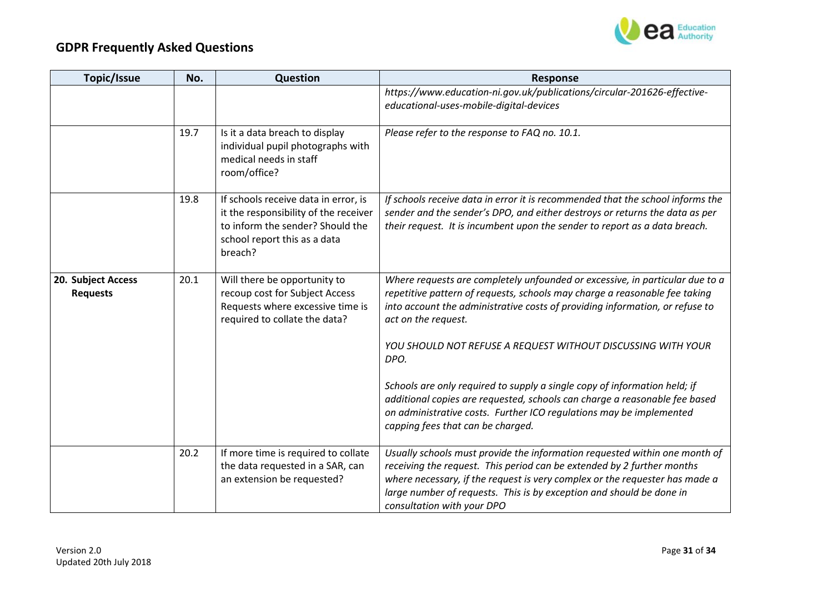

| Topic/Issue                           | No.  | <b>Question</b>                                                                                                                                              | <b>Response</b>                                                                                                                                                                                                                                                                                                                                                                                                                                                                                                                                                                                                  |
|---------------------------------------|------|--------------------------------------------------------------------------------------------------------------------------------------------------------------|------------------------------------------------------------------------------------------------------------------------------------------------------------------------------------------------------------------------------------------------------------------------------------------------------------------------------------------------------------------------------------------------------------------------------------------------------------------------------------------------------------------------------------------------------------------------------------------------------------------|
|                                       |      |                                                                                                                                                              | https://www.education-ni.gov.uk/publications/circular-201626-effective-<br>educational-uses-mobile-digital-devices                                                                                                                                                                                                                                                                                                                                                                                                                                                                                               |
|                                       | 19.7 | Is it a data breach to display<br>individual pupil photographs with<br>medical needs in staff<br>room/office?                                                | Please refer to the response to FAQ no. 10.1.                                                                                                                                                                                                                                                                                                                                                                                                                                                                                                                                                                    |
|                                       | 19.8 | If schools receive data in error, is<br>it the responsibility of the receiver<br>to inform the sender? Should the<br>school report this as a data<br>breach? | If schools receive data in error it is recommended that the school informs the<br>sender and the sender's DPO, and either destroys or returns the data as per<br>their request. It is incumbent upon the sender to report as a data breach.                                                                                                                                                                                                                                                                                                                                                                      |
| 20. Subject Access<br><b>Requests</b> | 20.1 | Will there be opportunity to<br>recoup cost for Subject Access<br>Requests where excessive time is<br>required to collate the data?                          | Where requests are completely unfounded or excessive, in particular due to a<br>repetitive pattern of requests, schools may charge a reasonable fee taking<br>into account the administrative costs of providing information, or refuse to<br>act on the request.<br>YOU SHOULD NOT REFUSE A REQUEST WITHOUT DISCUSSING WITH YOUR<br>DPO.<br>Schools are only required to supply a single copy of information held; if<br>additional copies are requested, schools can charge a reasonable fee based<br>on administrative costs. Further ICO regulations may be implemented<br>capping fees that can be charged. |
|                                       | 20.2 | If more time is required to collate<br>the data requested in a SAR, can<br>an extension be requested?                                                        | Usually schools must provide the information requested within one month of<br>receiving the request. This period can be extended by 2 further months<br>where necessary, if the request is very complex or the requester has made a<br>large number of requests. This is by exception and should be done in<br>consultation with your DPO                                                                                                                                                                                                                                                                        |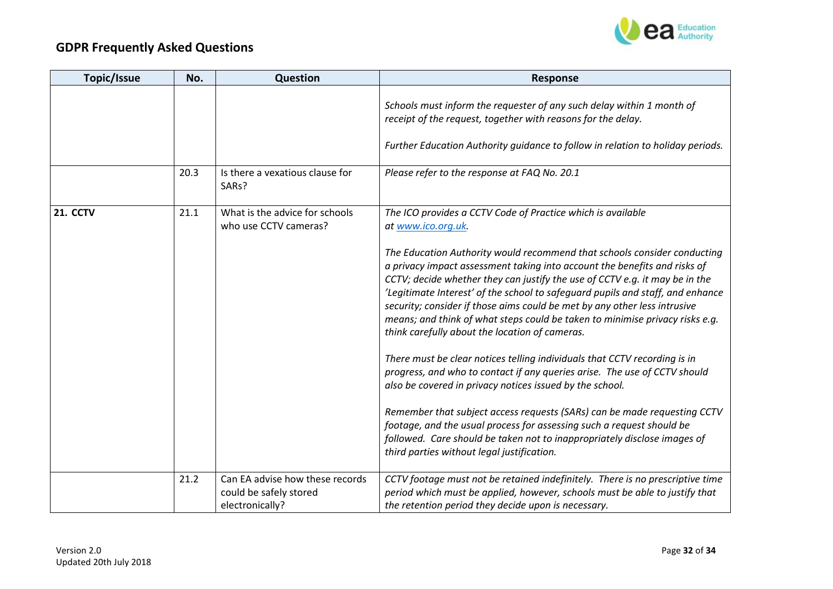

| <b>Topic/Issue</b> | No.  | Question                                                                     | <b>Response</b>                                                                                                                                                                                                                                                                                                                                                                                                                                                                                                                       |
|--------------------|------|------------------------------------------------------------------------------|---------------------------------------------------------------------------------------------------------------------------------------------------------------------------------------------------------------------------------------------------------------------------------------------------------------------------------------------------------------------------------------------------------------------------------------------------------------------------------------------------------------------------------------|
|                    |      |                                                                              | Schools must inform the requester of any such delay within 1 month of<br>receipt of the request, together with reasons for the delay.                                                                                                                                                                                                                                                                                                                                                                                                 |
|                    |      |                                                                              | Further Education Authority guidance to follow in relation to holiday periods.                                                                                                                                                                                                                                                                                                                                                                                                                                                        |
|                    | 20.3 | Is there a vexatious clause for<br>SARs?                                     | Please refer to the response at FAQ No. 20.1                                                                                                                                                                                                                                                                                                                                                                                                                                                                                          |
| <b>21. CCTV</b>    | 21.1 | What is the advice for schools<br>who use CCTV cameras?                      | The ICO provides a CCTV Code of Practice which is available<br>at www.ico.org.uk.                                                                                                                                                                                                                                                                                                                                                                                                                                                     |
|                    |      |                                                                              | The Education Authority would recommend that schools consider conducting<br>a privacy impact assessment taking into account the benefits and risks of<br>CCTV; decide whether they can justify the use of CCTV e.g. it may be in the<br>'Legitimate Interest' of the school to safeguard pupils and staff, and enhance<br>security; consider if those aims could be met by any other less intrusive<br>means; and think of what steps could be taken to minimise privacy risks e.g.<br>think carefully about the location of cameras. |
|                    |      |                                                                              | There must be clear notices telling individuals that CCTV recording is in<br>progress, and who to contact if any queries arise. The use of CCTV should<br>also be covered in privacy notices issued by the school.                                                                                                                                                                                                                                                                                                                    |
|                    |      |                                                                              | Remember that subject access requests (SARs) can be made requesting CCTV<br>footage, and the usual process for assessing such a request should be<br>followed. Care should be taken not to inappropriately disclose images of<br>third parties without legal justification.                                                                                                                                                                                                                                                           |
|                    | 21.2 | Can EA advise how these records<br>could be safely stored<br>electronically? | CCTV footage must not be retained indefinitely. There is no prescriptive time<br>period which must be applied, however, schools must be able to justify that<br>the retention period they decide upon is necessary.                                                                                                                                                                                                                                                                                                                   |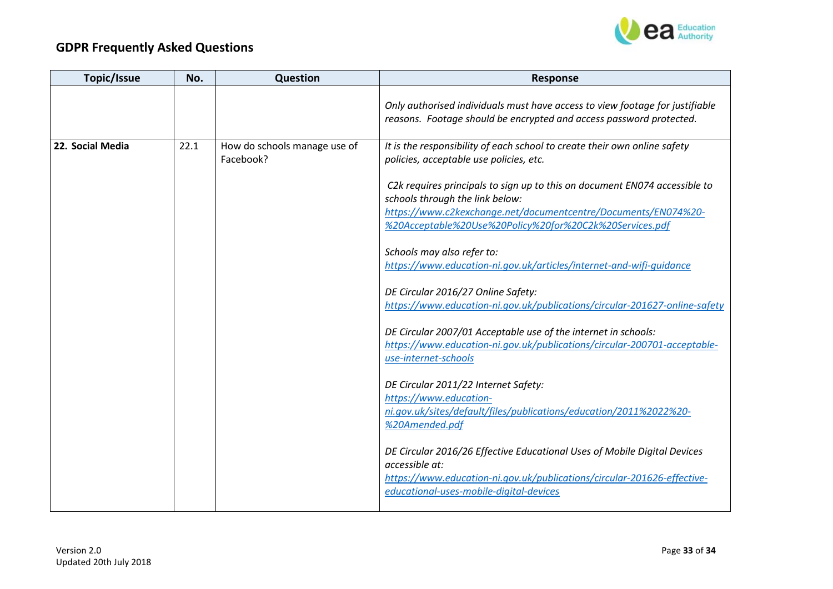

| Topic/Issue      | No.  | Question                                  | <b>Response</b>                                                                                                                                                                                                                            |
|------------------|------|-------------------------------------------|--------------------------------------------------------------------------------------------------------------------------------------------------------------------------------------------------------------------------------------------|
|                  |      |                                           | Only authorised individuals must have access to view footage for justifiable<br>reasons. Footage should be encrypted and access password protected.                                                                                        |
| 22. Social Media | 22.1 | How do schools manage use of<br>Facebook? | It is the responsibility of each school to create their own online safety<br>policies, acceptable use policies, etc.                                                                                                                       |
|                  |      |                                           | C2k requires principals to sign up to this on document EN074 accessible to<br>schools through the link below:<br>https://www.c2kexchange.net/documentcentre/Documents/EN074%20-<br>%20Acceptable%20Use%20Policy%20for%20C2k%20Services.pdf |
|                  |      |                                           | Schools may also refer to:<br>https://www.education-ni.gov.uk/articles/internet-and-wifi-quidance                                                                                                                                          |
|                  |      |                                           |                                                                                                                                                                                                                                            |
|                  |      |                                           | DE Circular 2016/27 Online Safety:                                                                                                                                                                                                         |
|                  |      |                                           | https://www.education-ni.gov.uk/publications/circular-201627-online-safety                                                                                                                                                                 |
|                  |      |                                           | DE Circular 2007/01 Acceptable use of the internet in schools:<br>https://www.education-ni.gov.uk/publications/circular-200701-acceptable-<br>use-internet-schools                                                                         |
|                  |      |                                           | DE Circular 2011/22 Internet Safety:                                                                                                                                                                                                       |
|                  |      |                                           | https://www.education-                                                                                                                                                                                                                     |
|                  |      |                                           | ni.gov.uk/sites/default/files/publications/education/2011%2022%20-<br>%20Amended.pdf                                                                                                                                                       |
|                  |      |                                           | DE Circular 2016/26 Effective Educational Uses of Mobile Digital Devices<br>accessible at:<br>https://www.education-ni.gov.uk/publications/circular-201626-effective-<br>educational-uses-mobile-digital-devices                           |